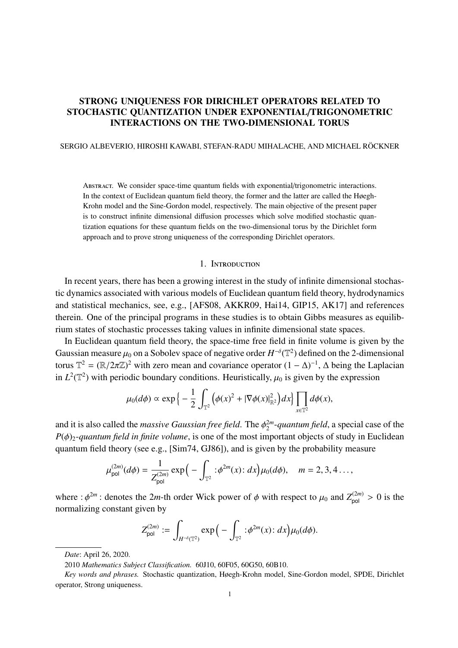# STRONG UNIQUENESS FOR DIRICHLET OPERATORS RELATED TO STOCHASTIC QUANTIZATION UNDER EXPONENTIAL/TRIGONOMETRIC INTERACTIONS ON THE TWO-DIMENSIONAL TORUS

#### SERGIO ALBEVERIO, HIROSHI KAWABI, STEFAN-RADU MIHALACHE, AND MICHAEL RÖCKNER

Abstract. We consider space-time quantum fields with exponential/trigonometric interactions. In the context of Euclidean quantum field theory, the former and the latter are called the Høegh-Krohn model and the Sine-Gordon model, respectively. The main objective of the present paper is to construct infinite dimensional diffusion processes which solve modified stochastic quantization equations for these quantum fields on the two-dimensional torus by the Dirichlet form approach and to prove strong uniqueness of the corresponding Dirichlet operators.

#### 1. Introduction

In recent years, there has been a growing interest in the study of infinite dimensional stochastic dynamics associated with various models of Euclidean quantum field theory, hydrodynamics and statistical mechanics, see, e.g., [AFS08, AKKR09, Hai14, GIP15, AK17] and references therein. One of the principal programs in these studies is to obtain Gibbs measures as equilibrium states of stochastic processes taking values in infinite dimensional state spaces.

In Euclidean quantum field theory, the space-time free field in finite volume is given by the Gaussian measure  $\mu_0$  on a Sobolev space of negative order  $H^{-\delta}(\mathbb{T}^2)$  defined on the 2-dimensional torus  $\mathbb{T}^2 = (\mathbb{R}/2\pi\mathbb{Z})^2$  with zero mean and covariance operator  $(1 - \Delta)^{-1}$ ,  $\Delta$  being the Laplacian in  $L^2(\mathbb{T}^2)$  with periodic boundary conditions. Heuristically,  $\mu_0$  is given by the expression

$$
\mu_0(d\phi) \propto \exp\left\{-\frac{1}{2}\int_{\mathbb{T}^2} \left(\phi(x)^2 + |\nabla \phi(x)|^2_{\mathbb{R}^2}\right) dx\right\} \prod_{x \in \mathbb{T}^2} d\phi(x),
$$

and it is also called the *massive Gaussian free field*. The  $\phi_2^{2m}$ 2 -*quantum field*, a special case of the  $P(\phi)_{2}$ -quantum field in finite volume, is one of the most important objects of study in Euclidean quantum field theory (see e.g., [Sim74, GJ86]), and is given by the probability measure

$$
\mu_{\text{pol}}^{(2m)}(d\phi) = \frac{1}{Z_{\text{pol}}^{(2m)}} \exp\Big(-\int_{\mathbb{T}^2} \,:\phi^{2m}(x)\,:\,dx\Big) \mu_0(d\phi), \quad m = 2, 3, 4 \ldots,
$$

where :  $\phi^{2m}$ : denotes the 2*m*-th order Wick power of  $\phi$  with respect to  $\mu_0$  and  $Z_{pol}^{(2m)} > 0$  is the normalizing constant given by

$$
Z_{\mathsf{pol}}^{(2m)} := \int_{H^{-\delta}(\mathbb{T}^2)} \exp\Big(-\int_{\mathbb{T}^2} : \phi^{2m}(x) : dx\Big) \mu_0(d\phi).
$$

*Date*: April 26, 2020.

<sup>2010</sup> *Mathematics Subject Classification.* 60J10, 60F05, 60G50, 60B10.

*Key words and phrases.* Stochastic quantization, Høegh-Krohn model, Sine-Gordon model, SPDE, Dirichlet operator, Strong uniqueness.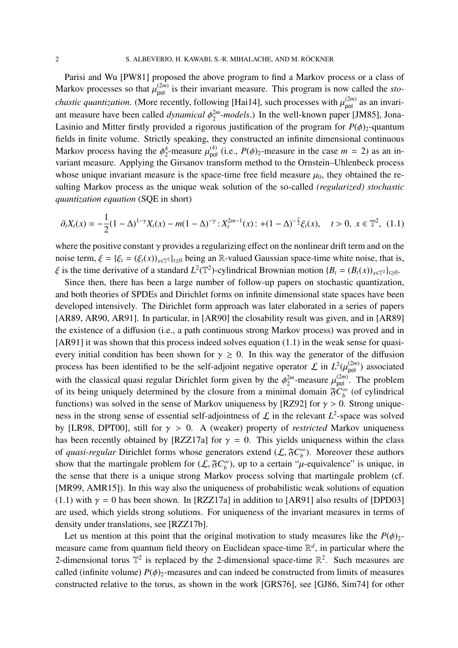Parisi and Wu [PW81] proposed the above program to find a Markov process or a class of Markov processes so that  $\mu_{pol}^{(2m)}$  is their invariant measure. This program is now called the *stochastic quantization*. (More recently, following [Hai14], such processes with  $\mu_{pol}^{(2m)}$  as an invariant measure have been called *dynamical*  $\phi_2^{2m}$  $_2^{2m}$ -*models*.) In the well-known paper [JM85], Jona-Lasinio and Mitter firstly provided a rigorous justification of the program for  $P(\phi)_{2}$ -quantum fields in finite volume. Strictly speaking, they constructed an infinite dimensional continuous Markov process having the  $\phi_2^4$ <sup>4</sup>/<sub>2</sub>-measure  $\mu_{pol}^{(4)}$  (i.e.,  $P(\phi)_{2}$ -measure in the case  $m = 2$ ) as an invariant measure. Applying the Girsanov transform method to the Ornstein–Uhlenbeck process whose unique invariant measure is the space-time free field measure  $\mu_0$ , they obtained the resulting Markov process as the unique weak solution of the so-called *(regularized) stochastic quantization equation* (SQE in short)

$$
\partial_t X_t(x) = -\frac{1}{2}(1-\Delta)^{1-\gamma}X_t(x) - m(1-\Delta)^{-\gamma} : X_t^{2m-1}(x) : + (1-\Delta)^{-\frac{\gamma}{2}}\xi_t(x), \quad t > 0, \ x \in \mathbb{T}^2, \ (1.1)
$$

where the positive constant  $\gamma$  provides a regularizing effect on the nonlinear drift term and on the noise term,  $\xi = {\xi_t = (\xi_t(x))_{x \in \mathbb{T}^2}}_{t \ge 0}$  being an R-valued Gaussian space-time white noise, that is,  $\xi$  is the time derivative of a standard  $L^2(\mathbb{T}^2)$ -cylindrical Brownian motion  $\{B_t = (B_t(x))_{x \in \mathbb{T}^2}\}_{t \ge 0}$ .

Since then, there has been a large number of follow-up papers on stochastic quantization, and both theories of SPDEs and Dirichlet forms on infinite dimensional state spaces have been developed intensively. The Dirichlet form approach was later elaborated in a series of papers [AR89, AR90, AR91]. In particular, in [AR90] the closability result was given, and in [AR89] the existence of a diffusion (i.e., a path continuous strong Markov process) was proved and in [AR91] it was shown that this process indeed solves equation (1.1) in the weak sense for quasievery initial condition has been shown for  $\gamma \geq 0$ . In this way the generator of the diffusion process has been identified to be the self-adjoint negative operator  $\mathcal L$  in  $L^2(\mu_{pol}^{(2m)})$  associated with the classical quasi regular Dirichlet form given by the  $\phi_2^{2m}$  $\mu_{\text{pol}}^{(2m)}$ . The problem of its being uniquely determined by the closure from a minimal domain  $\delta C_b^{\infty}$  $\int_b^{\infty}$  (of cylindrical functions) was solved in the sense of Markov uniqueness by [RZ92] for  $\gamma > 0$ . Strong uniqueness in the strong sense of essential self-adjointness of  $\mathcal L$  in the relevant  $L^2$ -space was solved by [LR98, DPT00], still for γ > 0. A (weaker) property of *restricted* Markov uniqueness has been recently obtained by [RZZ17a] for  $\gamma = 0$ . This yields uniqueness within the class of *quasi-regular* Dirichlet forms whose generators extend  $(L, \delta C_h^{\infty})$  $\binom{10}{b}$ . Moreover these authors show that the martingale problem for  $(L, \mathfrak{F}C_b^{\infty})$  $\beta_b^{\infty}$ ), up to a certain " $\mu$ -equivalence" is unique, in the sense that there is a unique strong Markov process solving that martingale problem (cf. [MR99, AMR15]). In this way also the uniqueness of probabilistic weak solutions of equation (1.1) with  $\gamma = 0$  has been shown. In [RZZ17a] in addition to [AR91] also results of [DPD03] are used, which yields strong solutions. For uniqueness of the invariant measures in terms of density under translations, see [RZZ17b].

Let us mention at this point that the original motivation to study measures like the  $P(\phi)_{2-}$ measure came from quantum field theory on Euclidean space-time R *d* , in particular where the 2-dimensional torus  $\mathbb{T}^2$  is replaced by the 2-dimensional space-time  $\mathbb{R}^2$ . Such measures are called (infinite volume)  $P(\phi)_{2}$ -measures and can indeed be constructed from limits of measures constructed relative to the torus, as shown in the work [GRS76], see [GJ86, Sim74] for other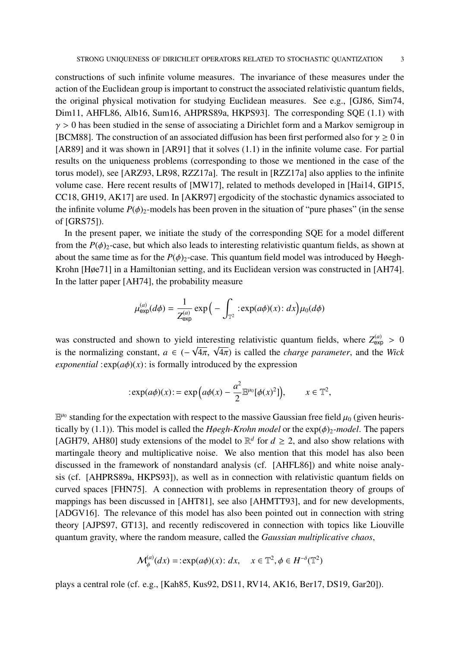constructions of such infinite volume measures. The invariance of these measures under the action of the Euclidean group is important to construct the associated relativistic quantum fields, the original physical motivation for studying Euclidean measures. See e.g., [GJ86, Sim74, Dim11, AHFL86, Alb16, Sum16, AHPRS89a, HKPS93]. The corresponding SQE (1.1) with  $\gamma > 0$  has been studied in the sense of associating a Dirichlet form and a Markov semigroup in [BCM88]. The construction of an associated diffusion has been first performed also for  $\gamma \ge 0$  in [AR89] and it was shown in [AR91] that it solves (1.1) in the infinite volume case. For partial results on the uniqueness problems (corresponding to those we mentioned in the case of the torus model), see [ARZ93, LR98, RZZ17a]. The result in [RZZ17a] also applies to the infinite volume case. Here recent results of [MW17], related to methods developed in [Hai14, GIP15, CC18, GH19, AK17] are used. In [AKR97] ergodicity of the stochastic dynamics associated to the infinite volume  $P(\phi)_{2}$ -models has been proven in the situation of "pure phases" (in the sense of [GRS75]).

In the present paper, we initiate the study of the corresponding SQE for a model different from the  $P(\phi)$ <sub>2</sub>-case, but which also leads to interesting relativistic quantum fields, as shown at about the same time as for the  $P(\phi)_{2}$ -case. This quantum field model was introduced by Høegh-Krohn [Høe71] in a Hamiltonian setting, and its Euclidean version was constructed in [AH74]. In the latter paper [AH74], the probability measure

$$
\mu_{\exp}^{(a)}(d\phi) = \frac{1}{Z_{\exp}^{(a)}} \exp\Big(-\int_{\mathbb{T}^2} : \exp(a\phi)(x): dx\Big) \mu_0(d\phi)
$$

was constructed and shown to yield interesting relativistic quantum fields, where  $Z_{exp}^{(a)} > 0$ was constructed and shown to yield interesting relativistic quantum neids, where  $Z_{\text{exp}} > 0$  is the normalizing constant,  $a \in (-\sqrt{4\pi}, \sqrt{4\pi})$  is called the *charge parameter*, and the *Wick exponential* : $exp(a\phi)(x)$ : is formally introduced by the expression

$$
:\exp(a\phi)(x):=\exp\Big(a\phi(x)-\frac{a^2}{2}\mathbb{E}^{\mu_0}[\phi(x)^2]\Big),\qquad x\in\mathbb{T}^2,
$$

 $\mathbb{E}^{\mu_0}$  standing for the expectation with respect to the massive Gaussian free field  $\mu_0$  (given heuristically by (1.1)). This model is called the *Høegh-Krohn model* or the  $exp(\phi)$ <sup>2</sup>-model. The papers [AGH79, AH80] study extensions of the model to  $\mathbb{R}^d$  for  $d \ge 2$ , and also show relations with martingale theory and multiplicative noise. We also mention that this model has also been discussed in the framework of nonstandard analysis (cf. [AHFL86]) and white noise analysis (cf. [AHPRS89a, HKPS93]), as well as in connection with relativistic quantum fields on curved spaces [FHN75]. A connection with problems in representation theory of groups of mappings has been discussed in [AHT81], see also [AHMTT93], and for new developments, [ADGV16]. The relevance of this model has also been pointed out in connection with string theory [AJPS97, GT13], and recently rediscovered in connection with topics like Liouville quantum gravity, where the random measure, called the *Gaussian multiplicative chaos*,

$$
\mathcal{M}_{\phi}^{(a)}(dx) = \text{exp}(a\phi)(x) : dx, \quad x \in \mathbb{T}^2, \phi \in H^{-\delta}(\mathbb{T}^2)
$$

plays a central role (cf. e.g., [Kah85, Kus92, DS11, RV14, AK16, Ber17, DS19, Gar20]).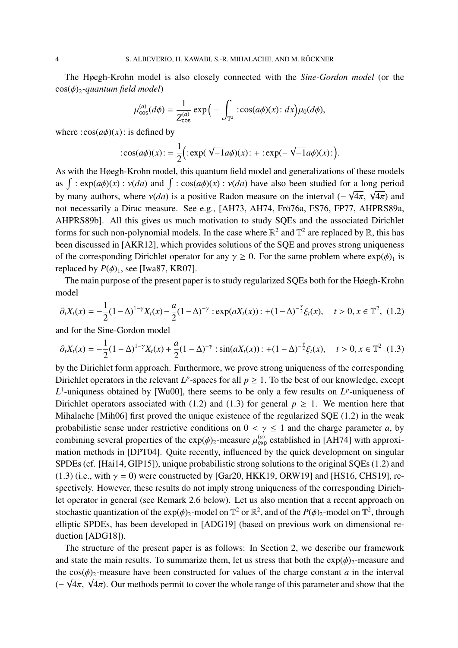The Høegh-Krohn model is also closely connected with the *Sine-Gordon model* (or the cos(*ϕ*)<sub>2</sub>-quantum field model)

$$
\mu_{\cos}^{(a)}(d\phi) = \frac{1}{Z_{\cos}^{(a)}} \exp\Big(-\int_{\mathbb{T}^2} : \cos(a\phi)(x): dx\Big) \mu_0(d\phi),
$$

where  $:cos(a\phi)(x)$ : is defined by

$$
:\cos(a\phi)(x):=\frac{1}{2}(\cdot\exp(\sqrt{-1}a\phi)(x):\cdot\div:\exp(-\sqrt{-1}a\phi)(x):\cdot).
$$

As with the Høegh-Krohn model, this quantum field model and generalizations of these models as  $\int$ :  $\exp(a\phi)(x)$ :  $v(da)$  and  $\int$ :  $\cos(a\phi)(x)$ :  $v(da)$  have also been studied for a long period by many authors, where  $v(da)$  is a positive Radon measure on the interval ( $-\sqrt{4\pi}$ ,  $\sqrt{4\pi}$ ) and by many authors, where  $v(da)$  is a positive Radon measure on the interval ( $-\sqrt{4\pi}$ ,  $\sqrt{4\pi}$ ) and not necessarily a Dirac measure. See e.g., [AH73, AH74, Frö76a, FS76, FP77, AHPRS89a, AHPRS89b]. All this gives us much motivation to study SQEs and the associated Dirichlet forms for such non-polynomial models. In the case where  $\mathbb{R}^2$  and  $\mathbb{T}^2$  are replaced by  $\mathbb{R}$ , this has been discussed in [AKR12], which provides solutions of the SQE and proves strong uniqueness of the corresponding Dirichlet operator for any  $\gamma \ge 0$ . For the same problem where  $\exp(\phi)$ <sub>1</sub> is replaced by  $P(\phi)$ <sub>1</sub>, see [Iwa87, KR07].

The main purpose of the present paper is to study regularized SQEs both for the Høegh-Krohn model

$$
\partial_t X_t(x) = -\frac{1}{2}(1-\Delta)^{1-\gamma}X_t(x) - \frac{a}{2}(1-\Delta)^{-\gamma} : \exp(aX_t(x)) : + (1-\Delta)^{-\frac{\gamma}{2}}\xi_t(x), \quad t > 0, x \in \mathbb{T}^2, \tag{1.2}
$$

and for the Sine-Gordon model

$$
\partial_t X_t(x) = -\frac{1}{2}(1-\Delta)^{1-\gamma}X_t(x) + \frac{a}{2}(1-\Delta)^{-\gamma} : \sin(aX_t(x)) : +(1-\Delta)^{-\frac{\gamma}{2}}\xi_t(x), \quad t > 0, x \in \mathbb{T}^2 \tag{1.3}
$$

by the Dirichlet form approach. Furthermore, we prove strong uniqueness of the corresponding Dirichlet operators in the relevant  $L^p$ -spaces for all  $p \geq 1$ . To the best of our knowledge, except  $L^1$ -uniqueness obtained by [Wu00], there seems to be only a few results on  $L^p$ -uniqueness of Dirichlet operators associated with (1.2) and (1.3) for general  $p \ge 1$ . We mention here that Mihalache [Mih06] first proved the unique existence of the regularized SQE (1.2) in the weak probabilistic sense under restrictive conditions on  $0 < \gamma \le 1$  and the charge parameter *a*, by combining several properties of the  $exp(\phi)_2$ -measure  $\mu_{exp}^{(a)}$  established in [AH74] with approximation methods in [DPT04]. Quite recently, influenced by the quick development on singular SPDEs (cf. [Hai14, GIP15]), unique probabilistic strong solutions to the original SQEs (1.2) and (1.3) (i.e., with  $\gamma = 0$ ) were constructed by [Gar20, HKK19, ORW19] and [HS16, CHS19], respectively. However, these results do not imply strong uniqueness of the corresponding Dirichlet operator in general (see Remark 2.6 below). Let us also mention that a recent approach on stochastic quantization of the  $exp(\phi)_2$ -model on  $\mathbb{T}^2$  or  $\mathbb{R}^2$ , and of the  $P(\phi)_2$ -model on  $\mathbb{T}^2$ , through elliptic SPDEs, has been developed in [ADG19] (based on previous work on dimensional reduction [ADG18]).

The structure of the present paper is as follows: In Section 2, we describe our framework and state the main results. To summarize them, let us stress that both the  $exp(\phi)_{2}$ -measure and the  $cos(\phi)$ <sub>2</sub>-measure have been constructed for values of the charge constant *a* in the interval the cos( $\varphi$ )<sub>2</sub>-measure nave been constructed for values of the charge constant *a* in the interval ( $-\sqrt{4\pi}$ ,  $\sqrt{4\pi}$ ). Our methods permit to cover the whole range of this parameter and show that the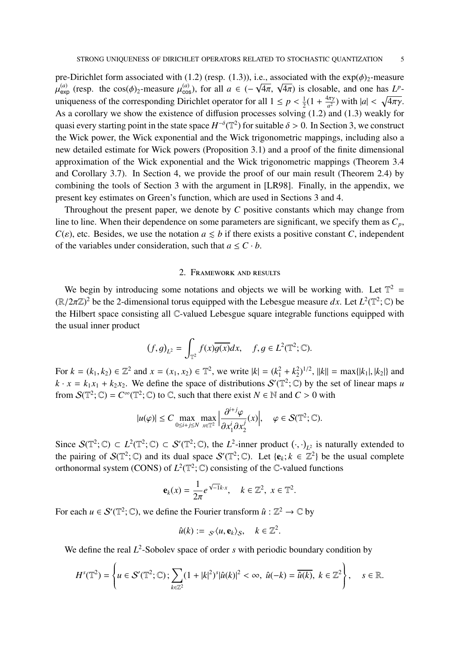pre-Dirichlet form associated with (1.2) (resp. (1.3)), i.e., associated with the  $\exp(\phi)_2$ -measure pre-Dirichlet form associated with (1.2) (resp. (1.3)), i.e., associated with the exp( $\varphi$ )<sub>2</sub>-measure  $\mu_{\text{exp}}^{(a)}$  (resp. the cos( $\phi$ )<sub>2</sub>-measure  $\mu_{\text{cos}}^{(a)}$ ), for all  $a \in (-\sqrt{4\pi}, \sqrt{4\pi})$  is closable, and one has uniqueness of the corresponding Dirichlet operator for all  $1 \leq p < \frac{1}{2}$  $\frac{1}{2}(1 + \frac{4\pi\gamma}{a^2})$  $\frac{4\pi\gamma}{a^2}$ ) with  $|a| < \sqrt{4\pi\gamma}$ . As a corollary we show the existence of diffusion processes solving (1.2) and (1.3) weakly for quasi every starting point in the state space  $H^{-\delta}(\mathbb{T}^2)$  for suitable  $\delta > 0$ . In Section 3, we construct the Wick power, the Wick exponential and the Wick trigonometric mappings, including also a new detailed estimate for Wick powers (Proposition 3.1) and a proof of the finite dimensional approximation of the Wick exponential and the Wick trigonometric mappings (Theorem 3.4 and Corollary 3.7). In Section 4, we provide the proof of our main result (Theorem 2.4) by combining the tools of Section 3 with the argument in [LR98]. Finally, in the appendix, we present key estimates on Green's function, which are used in Sections 3 and 4.

Throughout the present paper, we denote by *C* positive constants which may change from line to line. When their dependence on some parameters are significant, we specify them as *Cp*,  $C(\varepsilon)$ , etc. Besides, we use the notation  $a \leq b$  if there exists a positive constant *C*, independent of the variables under consideration, such that  $a \leq C \cdot b$ .

#### 2. Framework and results

We begin by introducing some notations and objects we will be working with. Let  $\mathbb{T}^2$  =  $(\mathbb{R}/2\pi\mathbb{Z})^2$  be the 2-dimensional torus equipped with the Lebesgue measure dx. Let  $L^2(\mathbb{T}^2;\mathbb{C})$  be the Hilbert space consisting all C-valued Lebesgue square integrable functions equipped with the usual inner product

$$
(f,g)_{L^2} = \int_{\mathbb{T}^2} f(x)\overline{g(x)}dx, \quad f, g \in L^2(\mathbb{T}^2; \mathbb{C}).
$$

For  $k = (k_1, k_2) \in \mathbb{Z}^2$  and  $x = (x_1, x_2) \in \mathbb{T}^2$ , we write  $|k| = (k_1^2 + k_2^2)$  $\binom{2}{2}^{1/2}$ ,  $||k|| = \max\{|k_1|, |k_2|\}$  and  $k \cdot x = k_1 x_1 + k_2 x_2$ . We define the space of distributions  $S'(\mathbb{T}^2; \mathbb{C})$  by the set of linear maps *u* from  $\mathcal{S}(\mathbb{T}^2; \mathbb{C}) = C^\infty(\mathbb{T}^2; \mathbb{C})$  to  $\mathbb{C}$ , such that there exist  $N \in \mathbb{N}$  and  $C > 0$  with

$$
|u(\varphi)|\leq C\max_{0\leq i+j\leq N}\max_{x\in\mathbb{T}^2}\Big|\frac{\partial^{i+j}\varphi}{\partial x_1^i\partial x_2^j}(x)\Big|,\quad \varphi\in\mathcal{S}(\mathbb{T}^2;\mathbb{C}).
$$

Since  $S(\mathbb{T}^2;\mathbb{C}) \subset L^2(\mathbb{T}^2;\mathbb{C}) \subset S'(\mathbb{T}^2;\mathbb{C})$ , the  $L^2$ -inner product  $(\cdot,\cdot)_{L^2}$  is naturally extended to the pairing of  $S(\mathbb{T}^2;\mathbb{C})$  and its dual space  $S'(\mathbb{T}^2;\mathbb{C})$ . Let  $\{e_k; k \in \mathbb{Z}^2\}$  be the usual complete orthonormal system (CONS) of  $L^2(\mathbb{T}^2;\mathbb{C})$  consisting of the  $\mathbb{C}$ -valued functions

$$
\mathbf{e}_k(x) = \frac{1}{2\pi} e^{\sqrt{-1}k \cdot x}, \quad k \in \mathbb{Z}^2, \ x \in \mathbb{T}^2.
$$

For each  $u \in \mathcal{S}'(\mathbb{T}^2;\mathbb{C})$ , we define the Fourier transform  $\hat{u} : \mathbb{Z}^2 \to \mathbb{C}$  by

$$
\hat{u}(k) := \mathcal{S}'(u, \mathbf{e}_k)_{\mathcal{S}}, \quad k \in \mathbb{Z}^2.
$$

We define the real  $L^2$ -Sobolev space of order *s* with periodic boundary condition by

$$
H^{s}(\mathbb{T}^{2})=\left\{u\in\mathcal{S}'(\mathbb{T}^{2};\mathbb{C});\sum_{k\in\mathbb{Z}^{2}}(1+|k|^{2})^{s}|\hat{u}(k)|^{2}<\infty,\ \hat{u}(-k)=\overline{\hat{u}(k)},\ k\in\mathbb{Z}^{2}\right\},\quad s\in\mathbb{R}.
$$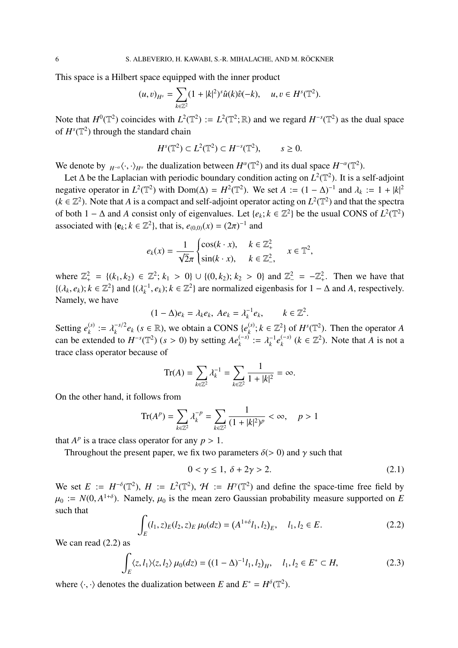This space is a Hilbert space equipped with the inner product

$$
(u,v)_{H^s} = \sum_{k \in \mathbb{Z}^2} (1+|k|^2)^s \widehat{u}(k)\widehat{v}(-k), \quad u, v \in H^s(\mathbb{T}^2).
$$

Note that  $H^0(\mathbb{T}^2)$  coincides with  $L^2(\mathbb{T}^2) := L^2(\mathbb{T}^2;\mathbb{R})$  and we regard  $H^{-s}(\mathbb{T}^2)$  as the dual space of  $H^s(\mathbb{T}^2)$  through the standard chain

$$
Hs(\mathbb{T}^2) \subset L2(\mathbb{T}^2) \subset H^{-s}(\mathbb{T}^2), \qquad s \ge 0.
$$

We denote by  $_{H^{-\alpha}} \langle \cdot, \cdot \rangle_{H^{\alpha}}$  the dualization between  $H^{\alpha}(\mathbb{T}^2)$  and its dual space  $H^{-\alpha}(\mathbb{T}^2)$ .

Let  $\Delta$  be the Laplacian with periodic boundary condition acting on  $L^2(\mathbb{T}^2)$ . It is a self-adjoint negative operator in  $L^2(\mathbb{T}^2)$  with Dom( $\Delta$ ) =  $H^2(\mathbb{T}^2)$ . We set  $A := (1 - \Delta)^{-1}$  and  $\lambda_k := 1 + |k|^2$  $(k \in \mathbb{Z}^2)$ . Note that *A* is a compact and self-adjoint operator acting on  $L^2(\mathbb{T}^2)$  and that the spectra of both 1 –  $\Delta$  and *A* consist only of eigenvalues. Let {*e<sub>k</sub>*; *k* ∈  $\mathbb{Z}^2$ } be the usual CONS of  $L^2(\mathbb{T}^2)$ associated with  $\{e_k; k \in \mathbb{Z}^2\}$ , that is,  $e_{(0,0)}(x) = (2\pi)^{-1}$  and

$$
e_k(x) = \frac{1}{\sqrt{2}\pi} \begin{cases} \cos(k \cdot x), & k \in \mathbb{Z}_+^2 \\ \sin(k \cdot x), & k \in \mathbb{Z}_-^2, \end{cases} \quad x \in \mathbb{T}^2,
$$

where  $\mathbb{Z}_+^2 = \{(k_1, k_2) \in \mathbb{Z}^2; k_1 > 0\} \cup \{(0, k_2); k_2 > 0\}$  and  $\mathbb{Z}_-^2 = -\mathbb{Z}_+^2$ . Then we have that  $\{(\lambda_k, e_k); k \in \mathbb{Z}^2\}$  and  $\{(\lambda_k^{-1}, e_k); k \in \mathbb{Z}^2\}$  are normalized eigenbasis for  $1 - \Delta$  and *A*, respectively. Namely, we have

$$
(1 - \Delta)e_k = \lambda_k e_k, \ Ae_k = \lambda_k^{-1} e_k, \qquad k \in \mathbb{Z}^2.
$$

Setting  $e_k^{(s)}$  $\lambda_k^{(s)} := \lambda_k^{-s/2}$  $e_k^{-s/2}e_k$  (*s* ∈ ℝ), we obtain a CONS { $e_k^{(s)}$  $\mathbb{Z}_k^{(s)}$ ;  $k \in \mathbb{Z}^2$  of  $H^s(\mathbb{T}^2)$ . Then the operator *A* can be extended to  $H^{-s}(\mathbb{T}^2)$  (*s* > 0) by setting  $Ae_k^{(-s)} := \lambda_k^{-1}e_k^{(-s)}$  $\binom{(-s)}{k}$  ( $k \in \mathbb{Z}^2$ ). Note that *A* is not a trace class operator because of

$$
\mathrm{Tr}(A) = \sum_{k \in \mathbb{Z}^2} \lambda_k^{-1} = \sum_{k \in \mathbb{Z}^2} \frac{1}{1 + |k|^2} = \infty.
$$

On the other hand, it follows from

$$
\operatorname{Tr}(A^p) = \sum_{k \in \mathbb{Z}^2} \lambda_k^{-p} = \sum_{k \in \mathbb{Z}^2} \frac{1}{(1 + |k|^2)^p} < \infty, \quad p > 1
$$

that  $A^p$  is a trace class operator for any  $p > 1$ .

Throughout the present paper, we fix two parameters  $\delta$ (> 0) and  $\gamma$  such that

$$
0 < \gamma \le 1, \ \delta + 2\gamma > 2. \tag{2.1}
$$

We set  $E := H^{-\delta}(\mathbb{T}^2)$ ,  $H := L^2(\mathbb{T}^2)$ ,  $H := H^{\gamma}(\mathbb{T}^2)$  and define the space-time free field by  $\mu_0 := N(0, A^{1+\delta})$ . Namely,  $\mu_0$  is the mean zero Gaussian probability measure supported on *E* such that

$$
\int_{E} (l_1, z)_E (l_2, z)_E \, \mu_0(dz) = (A^{1+\delta} l_1, l_2)_E, \quad l_1, l_2 \in E. \tag{2.2}
$$

We can read (2.2) as

$$
\int_{E} \langle z, l_1 \rangle \langle z, l_2 \rangle \, \mu_0(dz) = \left( (1 - \Delta)^{-1} l_1, l_2 \right)_H, \quad l_1, l_2 \in E^* \subset H,\tag{2.3}
$$

where  $\langle \cdot, \cdot \rangle$  denotes the dualization between *E* and  $E^* = H^{\delta}(\mathbb{T}^2)$ .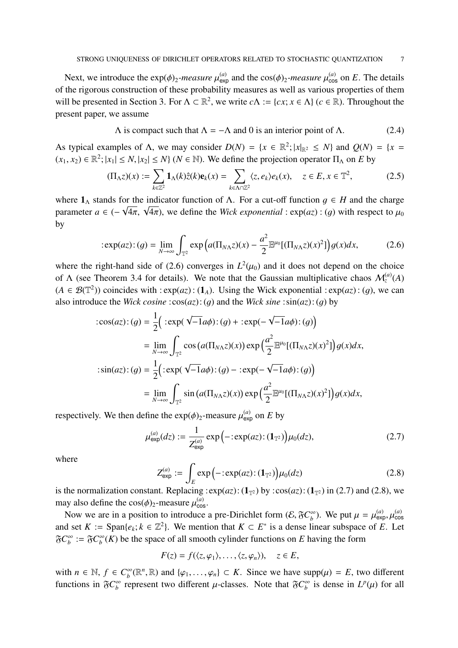Next, we introduce the  $exp(\phi)_2$ -measure  $\mu_{exp}^{(a)}$  and the  $cos(\phi)_2$ -measure  $\mu_{cos}^{(a)}$  on *E*. The details of the rigorous construction of these probability measures as well as various properties of them will be presented in Section 3. For  $\Lambda \subset \mathbb{R}^2$ , we write  $c\Lambda := \{cx; x \in \Lambda\}$  ( $c \in \mathbb{R}$ ). Throughout the present paper, we assume

$$
\Lambda \text{ is compact such that } \Lambda = -\Lambda \text{ and } 0 \text{ is an interior point of } \Lambda. \tag{2.4}
$$

As typical examples of  $\Lambda$ , we may consider  $D(N) = \{x \in \mathbb{R}^2; |x|_{\mathbb{R}^2} \le N\}$  and  $Q(N) = \{x =$  $(x_1, x_2) \in \mathbb{R}^2$ ;  $|x_1| \leq N$ ,  $|x_2| \leq N$   $(N \in \mathbb{N})$ . We define the projection operator  $\Pi_{\Lambda}$  on *E* by

$$
(\Pi_{\Lambda}z)(x) := \sum_{k \in \mathbb{Z}^2} \mathbf{1}_{\Lambda}(k)\hat{z}(k)\mathbf{e}_k(x) = \sum_{k \in \Lambda \cap \mathbb{Z}^2} \langle z, e_k \rangle e_k(x), \quad z \in E, x \in \mathbb{T}^2,
$$
 (2.5)

where  $1_\Lambda$  stands for the indicator function of  $\Lambda$ . For a cut-off function  $g \in H$  and the charge where  $\mathbf{I}_{\Lambda}$  stands for the indicator function of  $\Lambda$ . For a cut-on function  $g \in H$  and the charge<br>parameter  $a \in (-\sqrt{4\pi}, \sqrt{4\pi})$ , we define the *Wick exponential* : exp(*az*) : (*g*) with respect to  $\mu_0$ by

$$
:\exp(az):(g)=\lim_{N\to\infty}\int_{\mathbb{T}^2}\exp\left(a(\Pi_{N\Lambda}z)(x)-\frac{a^2}{2}\mathbb{E}^{\mu_0}[(\Pi_{N\Lambda}z)(x)^2]\right)g(x)dx,\tag{2.6}
$$

where the right-hand side of (2.6) converges in  $L^2(\mu_0)$  and it does not depend on the choice of  $\Lambda$  (see Theorem 3.4 for details). We note that the Gaussian multiplicative chaos  $\mathcal{M}_z^{(a)}(A)$  $(A \in \mathcal{B}(\mathbb{T}^2))$  coincides with : exp(*az*): (1<sub>*A*</sub>). Using the Wick exponential : exp(*az*): (*g*), we can also introduce the *Wick cosine* : $cos(az)$ : (q) and the *Wick sine* : $sin(az)$ : (q) by

$$
\begin{aligned}\n\therefore \cos(az) : (g) &= \frac{1}{2} \Big( \cdot \exp(\sqrt{-1}a\phi) : (g) + \cdot \exp(-\sqrt{-1}a\phi) : (g) \Big) \\
&= \lim_{N \to \infty} \int_{\mathbb{T}^2} \cos\big(a(\Pi_{N\Lambda}z)(x)\big) \exp\Big(\frac{a^2}{2} \mathbb{E}^{\mu_0}[(\Pi_{N\Lambda}z)(x)^2]\Big) g(x) dx, \\
\therefore \sin(az) : (g) &= \frac{1}{2} \Big( \cdot \exp(\sqrt{-1}a\phi) : (g) - \cdot \exp(-\sqrt{-1}a\phi) : (g) \Big) \\
&= \lim_{N \to \infty} \int_{\mathbb{T}^2} \sin\big(a(\Pi_{N\Lambda}z)(x)\big) \exp\Big(\frac{a^2}{2} \mathbb{E}^{\mu_0}[(\Pi_{N\Lambda}z)(x)^2]\Big) g(x) dx,\n\end{aligned}
$$

respectively. We then define the  $exp(\phi)_2$ -measure  $\mu_{exp}^{(a)}$  on *E* by

$$
\mu_{\exp}^{(a)}(dz) := \frac{1}{Z_{\exp}^{(a)}} \exp\left(-\,:\exp(az)\,:\,(\mathbf{1}_{\mathbb{T}^2})\right) \mu_0(dz),\tag{2.7}
$$

where

$$
Z_{\text{exp}}^{(a)} := \int_{E} \exp\left(-\varepsilon \exp(a z) : (\mathbf{1}_{\mathbb{T}^2})\right) \mu_0(d z) \tag{2.8}
$$

is the normalization constant. Replacing : $\exp(az)$ :  $(1_{\mathbb{T}^2})$  by : $\cos(az)$ :  $(1_{\mathbb{T}^2})$  in (2.7) and (2.8), we may also define the  $cos(\phi)_2$ -measure  $\mu_{cos}^{(a)}$ .

Now we are in a position to introduce a pre-Dirichlet form  $(\mathcal{E}, \mathfrak{F}C^{\infty}_{h})$  $\mu_b^{(\infty)}$ ). We put  $\mu = \mu_{\text{exp}}^{(a)}, \mu_{\text{cos}}^{(a)}$ and set  $K := \text{Span}\{e_k; k \in \mathbb{Z}^2\}$ . We mention that  $K \subset E^*$  is a dense linear subspace of *E*. Let  $\mathfrak{F}C_{h}^{\infty}$  $\delta_b^{\infty} := \mathfrak{F} C_b^{\infty}$  $\int_b^{\infty}$  (*K*) be the space of all smooth cylinder functions on *E* having the form

$$
F(z) = f(\langle z, \varphi_1 \rangle, \ldots, \langle z, \varphi_n \rangle), \quad z \in E,
$$

with  $n \in \mathbb{N}$ ,  $f \in C_b^{\infty}$  $\phi_b^{\infty}(\mathbb{R}^n, \mathbb{R})$  and  $\{\varphi_1, \ldots, \varphi_n\} \subset K$ . Since we have supp $(\mu) = E$ , two different functions in  $\mathfrak{F}C_{h}^{\infty}$  $\int_b^{\infty}$  represent two different  $\mu$ -classes. Note that  $\mathfrak{F}C_b^{\infty}$  $\int_b^{\infty}$  is dense in  $L^p(\mu)$  for all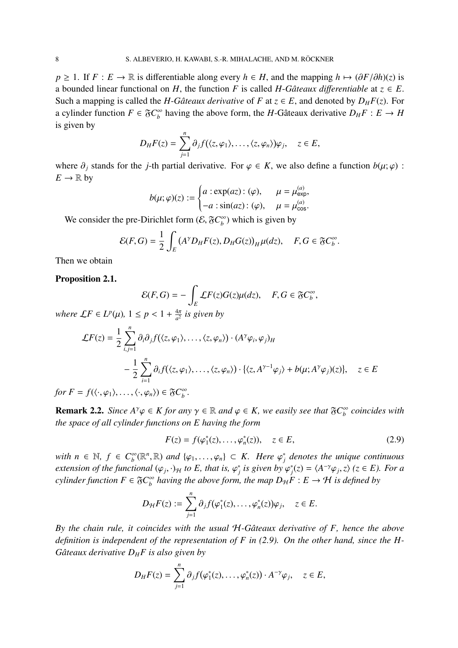*p* ≥ 1. If *F* : *E* → R is differentiable along every *h* ∈ *H*, and the mapping *h*  $\mapsto (\partial F/\partial h)(z)$  is a bounded linear functional on *H*, the function *F* is called *H*-*Gâteaux differentiable* at  $z \in E$ . Such a mapping is called the *H*-*Gâteaux derivative* of *F* at  $z \in E$ , and denoted by  $D_H F(z)$ . For a cylinder function  $F \in \mathfrak{F}C_{h}^{\infty}$  $b<sub>b</sub>$  having the above form, the *H*-Gâteaux derivative  $D<sub>H</sub>F : E \rightarrow H$ is given by

$$
D_H F(z) = \sum_{j=1}^n \partial_j f(\langle z, \varphi_1 \rangle, \dots, \langle z, \varphi_n \rangle) \varphi_j, \quad z \in E,
$$

where  $\partial_j$  stands for the *j*-th partial derivative. For  $\varphi \in K$ , we also define a function  $b(\mu; \varphi)$ :  $E \to \mathbb{R}$  by

$$
b(\mu; \varphi)(z) := \begin{cases} a : \exp(az) : (\varphi), & \mu = \mu_{\exp}^{(a)}, \\ -a : \sin(az) : (\varphi), & \mu = \mu_{\cos}^{(a)} .\end{cases}
$$

We consider the pre-Dirichlet form  $(\mathcal{E}, \mathfrak{F}C^{\infty}_{h})$  $\binom{10}{b}$  which is given by

$$
\mathcal{E}(F,G) = \frac{1}{2} \int_E (A^{\gamma} D_H F(z), D_H G(z))_H \mu(dz), \quad F, G \in \mathfrak{F}C_b^{\infty}.
$$

Then we obtain

#### Proposition 2.1.

$$
\mathcal{E}(F,G) = -\int_{E} \mathcal{L}F(z)G(z)\mu(dz), \quad F,G \in \mathfrak{F}C_b^{\infty},
$$

*where*  $\mathcal{L}F \in L^p(\mu)$ ,  $1 \leq p < 1 + \frac{4\pi}{a^2}$  $\frac{4\pi}{a^2}$  is given by

$$
\mathcal{L}F(z) = \frac{1}{2} \sum_{i,j=1}^{n} \partial_i \partial_j f(\langle z, \varphi_1 \rangle, \dots, \langle z, \varphi_n \rangle) \cdot (A^{\gamma} \varphi_i, \varphi_j)_H
$$
  

$$
- \frac{1}{2} \sum_{i=1}^{n} \partial_i f(\langle z, \varphi_1 \rangle, \dots, \langle z, \varphi_n \rangle) \cdot \{\langle z, A^{\gamma-1} \varphi_j \rangle + b(\mu; A^{\gamma} \varphi_j)(z)\}, \quad z \in E
$$

*for*  $F = f(\langle \cdot, \varphi_1 \rangle, \dots, \langle \cdot, \varphi_n \rangle) \in \mathfrak{F}C_b^{\infty}$ *b .*

**Remark 2.2.** *Since*  $A^{\gamma} \varphi \in K$  *for any*  $\gamma \in \mathbb{R}$  *and*  $\varphi \in K$ *, we easily see that*  $\mathfrak{F}C_{h}^{\infty}$ *b coincides with the space of all cylinder functions on E having the form*

$$
F(z) = f(\varphi_1^*(z), \dots, \varphi_n^*(z)), \quad z \in E,
$$
\n(2.9)

*with*  $n \in \mathbb{N}$ ,  $f \in C_b^{\infty}$  $\phi_b^{\infty}(\mathbb{R}^n, \mathbb{R})$  *and*  $\{\varphi_1, \ldots, \varphi_n\} \subset K$ . Here  $\varphi_j^*$ *j denotes the unique continuous extension of the functional*  $(\varphi_j, \cdot)$ <sub>*H*</sub> *to E, that is,*  $\varphi_j^*$  $\hat{y}_j$  is given by  $\varphi_j^*$  $f_j^*(z) = \langle A^{-\gamma} \varphi_j, z \rangle$  ( $z \in E$ ). For a *cylinder function*  $F \in \mathfrak{F}C_{h}^{\infty}$  $\int_b^{\infty}$  having the above form, the map  $D_{\mathcal{H}}F : E \to \mathcal{H}$  is defined by

$$
D_{\mathcal{H}}F(z) := \sum_{j=1}^n \partial_j f(\varphi_1^*(z), \ldots, \varphi_n^*(z)) \varphi_j, \quad z \in E.
$$

*By the chain rule, it coincides with the usual* H*-Gˆateaux derivative of F, hence the above definition is independent of the representation of F in (2.9). On the other hand, since the H-Gˆateaux derivative D<sup>H</sup> F is also given by*

$$
D_H F(z) = \sum_{j=1}^n \partial_j f(\varphi_1^*(z), \dots, \varphi_n^*(z)) \cdot A^{-\gamma} \varphi_j, \quad z \in E,
$$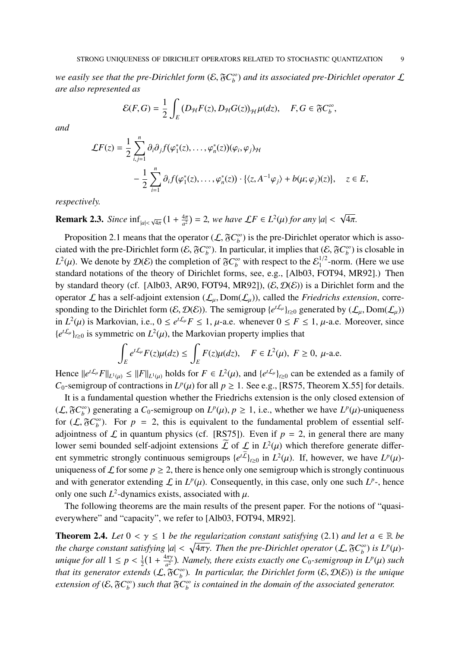*we easily see that the pre-Dirichlet form*  $(\mathcal{E}, \mathfrak{F}C_{h}^{\infty})$ *b* ) *and its associated pre-Dirichlet operator* L *are also represented as*

$$
\mathcal{E}(F,G) = \frac{1}{2} \int_E \left( D_{\mathcal{H}} F(z), D_{\mathcal{H}} G(z) \right)_{\mathcal{H}} \mu(dz), \quad F, G \in \mathfrak{F}C_b^{\infty},
$$

*and*

$$
\mathcal{L}F(z) = \frac{1}{2} \sum_{i,j=1}^{n} \partial_i \partial_j f(\varphi_1^*(z), \dots, \varphi_n^*(z)) (\varphi_i, \varphi_j) \mathcal{H}
$$
  
 
$$
- \frac{1}{2} \sum_{i=1}^{n} \partial_i f(\varphi_1^*(z), \dots, \varphi_n^*(z)) \cdot \{ \langle z, A^{-1} \varphi_j \rangle + b(\mu; \varphi_j)(z) \}, \quad z \in E,
$$

*respectively.*

**Remark 2.3.** *Since*  $\inf_{|a| < \sqrt{4\pi}} (1 + \frac{4\pi}{a^2})$  $\frac{4\pi}{a^2}$ ) = 2*, we have*  $\mathcal{L}F \in L^2(\mu)$  *for any*  $|a|$  < √ 4π*.*

Proposition 2.1 means that the operator  $(L, \mathfrak{F}C_{h}^{\infty})$  $\binom{\infty}{b}$  is the pre-Dirichlet operator which is associated with the pre-Dirichlet form  $(\mathcal{E}, \mathfrak{F}C^{\infty}_{h})$  $\binom{\infty}{b}$ . In particular, it implies that  $(\mathcal{E}, \mathfrak{F}C_b^{\infty})$  $\binom{10}{b}$  is closable in  $L^2(\mu)$ . We denote by  $\mathcal{D}(\mathcal{E})$  the completion of  $\mathfrak{F}C_b^{\infty}$  with respect to the  $\mathcal{E}_1^{1/2}$  $1/2$ -norm. (Here we use standard notations of the theory of Dirichlet forms, see, e.g., [Alb03, FOT94, MR92].) Then by standard theory (cf. [Alb03, AR90, FOT94, MR92]),  $(\mathcal{E}, \mathcal{D}(\mathcal{E}))$  is a Dirichlet form and the operator  $\mathcal L$  has a self-adjoint extension  $(\mathcal L_\mu, \text{Dom}(\mathcal L_\mu))$ , called the *Friedrichs extension*, corresponding to the Dirichlet form  $(E, \mathcal{D}(E))$ . The semigroup  $\{e^{t\mathcal{L}_\mu}\}_{t\geq 0}$  generated by  $(\mathcal{L}_\mu, \text{Dom}(\mathcal{L}_\mu))$ in  $L^2(\mu)$  is Markovian, i.e.,  $0 \le e^{t\mathcal{L}_\mu} F \le 1$ ,  $\mu$ -a.e. whenever  $0 \le F \le 1$ ,  $\mu$ -a.e. Moreover, since  ${e^{t\mathcal{L}_\mu}}_{t\geq 0}$  is symmetric on  $L^2(\mu)$ , the Markovian property implies that

$$
\int_{E} e^{t\mathcal{L}_{\mu}} F(z) \mu(dz) \le \int_{E} F(z) \mu(dz), \quad F \in L^{2}(\mu), \ F \ge 0, \ \mu\text{-a.e.}
$$

Hence  $||e^{t\mathcal{L}_\mu}F||_{L^1(\mu)} \le ||F||_{L^1(\mu)}$  holds for  $F \in L^2(\mu)$ , and  $\{e^{t\mathcal{L}_\mu}\}_{t \ge 0}$  can be extended as a family of *C*<sub>0</sub>-semigroup of contractions in  $L^p(\mu)$  for all  $p \ge 1$ . See e.g., [RS75, Theorem X.55] for details.

It is a fundamental question whether the Friedrichs extension is the only closed extension of  $(L, \mathfrak{F}C^{\infty}_{h})$  $\binom{10}{b}$  generating a *C*<sub>0</sub>-semigroup on *L<sup>p</sup>*( $\mu$ ),  $p \ge 1$ , i.e., whether we have *L<sup>p</sup>*( $\mu$ )-uniqueness for  $(L, \mathfrak{F}C_{h}^{\infty})$  $\beta_b^{\infty}$ ). For  $p = 2$ , this is equivalent to the fundamental problem of essential selfadjointness of  $\mathcal L$  in quantum physics (cf. [RS75]). Even if  $p = 2$ , in general there are many lower semi bounded self-adjoint extensions  $\mathcal L$  of  $\mathcal L$  in  $L^2(\mu)$  which therefore generate different symmetric strongly continuous semigroups  $\{e^{t\mathcal{L}}\}_{t\geq0}$  in  $L^2(\mu)$ . If, however, we have  $L^p(\mu)$ uniqueness of  $\mathcal L$  for some  $p \geq 2$ , there is hence only one semigroup which is strongly continuous and with generator extending  $\mathcal L$  in  $L^p(\mu)$ . Consequently, in this case, only one such  $L^p$ -, hence only one such  $L^2$ -dynamics exists, associated with  $\mu$ .

The following theorems are the main results of the present paper. For the notions of "quasieverywhere" and "capacity", we refer to [Alb03, FOT94, MR92].

**Theorem 2.4.** *Let*  $0 < \gamma \le 1$  *be the regularization constant satisfying* (2.1) *and let*  $a \in \mathbb{R}$  *be the charge constant satisfying*  $|a| < \sqrt{4\pi\gamma}$ . Then the pre-Dirichlet operator (L,  $C^{\infty}_{b}$ )  $\binom{1}{b}$  *is*  $L^p(\mu)$ *unique for all*  $1 \leq p < \frac{1}{2}$  $\frac{1}{2}(1 + \frac{4\pi\gamma}{a^2})$ *a* 2 ) *. Namely, there exists exactly one C*0*-semigroup in L<sup>p</sup>* (µ) *such that its generator extends*  $(L, \mathfrak{F}C_{h}^{\infty})$  $\binom{\infty}{b}$ . In particular, the Dirichlet form  $(\mathcal{E}, \mathcal{D}(\mathcal{E}))$  is the unique *extension of*  $(E, \mathfrak{F}C^{\infty}_{h})$  $\binom{6}{b}$  *such that*  $\mathfrak{F}C_{b}^{\infty}$ *b is contained in the domain of the associated generator.*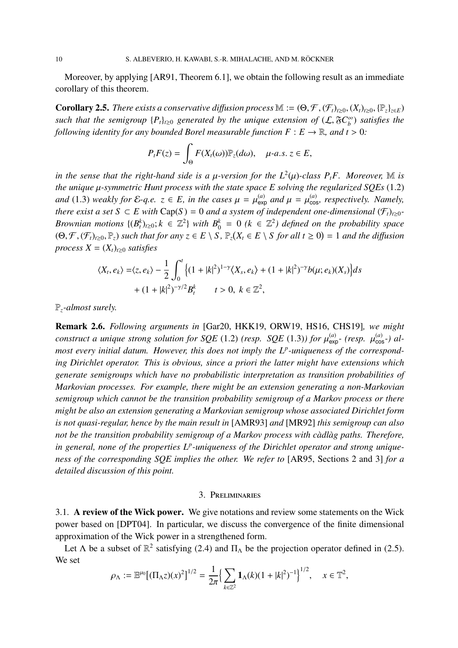Moreover, by applying [AR91, Theorem 6.1], we obtain the following result as an immediate corollary of this theorem.

**Corollary 2.5.** *There exists a conservative diffusion process*  $\mathbb{M} := (\Theta, \mathcal{F}, (\mathcal{F}_t)_{t\geq0}, (X_t)_{t\geq0}, \{\mathbb{P}_z\}_{z\in E})$ *such that the semigroup*  ${P_t}_{t\ge0}$  *generated by the unique extension of*  $(L, \mathfrak{F}C_b^{\infty})$ *b* ) *satisfies the following identity for any bounded Borel measurable function*  $F : E \to \mathbb{R}$ *, and*  $t > 0$ *:* 

$$
P_t F(z) = \int_{\Theta} F(X_t(\omega)) \mathbb{P}_z(d\omega), \quad \mu\text{-}a.s. \ z \in E,
$$

*in the sense that the right-hand side is a*  $\mu$ *-version for the*  $L^2(\mu)$ *-class*  $P_tF$ *. Moreover,* M *is the unique* µ*-symmetric Hunt process with the state space E solving the regularized SQEs* (1.2) *and* (1.3) *weakly for*  $\mathcal{E}\text{-}q.e.$   $z \in E$ , *in the cases*  $\mu = \mu_{\text{exp}}^{(a)}$  *and*  $\mu = \mu_{\text{cos}}^{(a)}$ , *respectively. Namely*, *there exist a set*  $S \subset E$  *with*  $Cap(S) = 0$  *and a system of independent one-dimensional*  $(\mathcal{F}_t)_{t \geq 0}$ *-Brownian motions*  $\{(B_t^k)_{t\geq 0}; k \in \mathbb{Z}^2\}$  *with*  $B_0^k = 0$  ( $k \in \mathbb{Z}^2$ ) defined on the probability space  $(\Theta, \mathcal{F}, (\mathcal{F}_t)_{t\geq0}, \mathbb{P}_z)$  *such that for any*  $z \in E \setminus S$ ,  $\mathbb{P}_z(X_t \in E \setminus S)$  *for all*  $t \geq 0) = 1$  *and the diffusion process*  $X = (X_t)_{t>0}$  *satisfies* 

$$
\langle X_t, e_k \rangle = \langle z, e_k \rangle - \frac{1}{2} \int_0^t \left\{ (1 + |k|^2)^{1-\gamma} \langle X_s, e_k \rangle + (1 + |k|^2)^{-\gamma} b(\mu; e_k)(X_s) \right\} ds
$$
  
+ 
$$
(1 + |k|^2)^{-\gamma/2} B_t^k \qquad t > 0, \ k \in \mathbb{Z}^2,
$$

P*z-almost surely.*

Remark 2.6. *Following arguments in* [Gar20, HKK19, ORW19, HS16, CHS19]*, we might construct a unique strong solution for SQE* (1.2) *(resp. SQE* (1.3)*)* for  $\mu_{\text{exp}}^{(a)}$  *(resp.*  $\mu_{\text{cos}}^{(a)}$ *) almost every initial datum. However, this does not imply the L<sup>p</sup> -uniqueness of the corresponding Dirichlet operator. This is obvious, since a priori the latter might have extensions which generate semigroups which have no probabilistic interpretation as transition probabilities of Markovian processes. For example, there might be an extension generating a non-Markovian semigroup which cannot be the transition probability semigroup of a Markov process or there might be also an extension generating a Markovian semigroup whose associated Dirichlet form is not quasi-regular, hence by the main result in* [AMR93] *and* [MR92] *this semigroup can also not be the transition probability semigroup of a Markov process with c`adl`ag paths. Therefore,* in general, none of the properties L<sup>p</sup>-uniqueness of the Dirichlet operator and strong unique*ness of the corresponding SQE implies the other. We refer to* [AR95, Sections 2 and 3] *for a detailed discussion of this point.*

#### 3. Preliminaries

3.1. A review of the Wick power. We give notations and review some statements on the Wick power based on [DPT04]. In particular, we discuss the convergence of the finite dimensional approximation of the Wick power in a strengthened form.

Let  $\Lambda$  be a subset of  $\mathbb{R}^2$  satisfying (2.4) and  $\Pi_{\Lambda}$  be the projection operator defined in (2.5). We set

$$
\rho_{\Lambda} := \mathbb{E}^{\mu_0} \big[ (\Pi_{\Lambda} z)(x)^2 \big]^{1/2} = \frac{1}{2\pi} \Big\{ \sum_{k \in \mathbb{Z}^2} \mathbf{1}_{\Lambda}(k) (1+|k|^2)^{-1} \Big\}^{1/2}, \quad x \in \mathbb{T}^2,
$$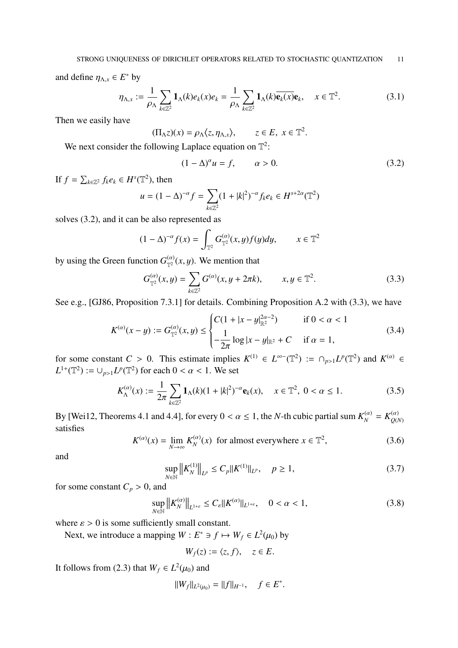and define  $\eta_{\Lambda,x} \in E^*$  by

$$
\eta_{\Lambda,x} := \frac{1}{\rho_{\Lambda}} \sum_{k \in \mathbb{Z}^2} \mathbf{1}_{\Lambda}(k) e_k(x) e_k = \frac{1}{\rho_{\Lambda}} \sum_{k \in \mathbb{Z}^2} \mathbf{1}_{\Lambda}(k) \overline{\mathbf{e}_k(x)} \mathbf{e}_k, \quad x \in \mathbb{T}^2.
$$
 (3.1)

Then we easily have

$$
(\Pi_{\Lambda}z)(x) = \rho_{\Lambda}\langle z, \eta_{\Lambda,x}\rangle, \qquad z \in E, \ x \in \mathbb{T}^2.
$$

We next consider the following Laplace equation on  $\mathbb{T}^2$ :

$$
(1 - \Delta)^{\alpha} u = f, \qquad \alpha > 0. \tag{3.2}
$$

If  $f = \sum_{k \in \mathbb{Z}^2} f_k e_k \in H^s(\mathbb{T}^2)$ , then

$$
u = (1 - \Delta)^{-\alpha} f = \sum_{k \in \mathbb{Z}^2} (1 + |k|^2)^{-\alpha} f_k e_k \in H^{s + 2\alpha}(\mathbb{T}^2)
$$

solves (3.2), and it can be also represented as

$$
(1 - \Delta)^{-\alpha} f(x) = \int_{\mathbb{T}^2} G_{\mathbb{T}^2}^{(\alpha)}(x, y) f(y) dy, \qquad x \in \mathbb{T}^2
$$

by using the Green function  $G_{\pi^2}^{(\alpha)}$  $\int_{\mathbb{T}^2}^{(\alpha)}(x,y)$ . We mention that

$$
G_{\mathbb{T}^2}^{(\alpha)}(x,y) = \sum_{k \in \mathbb{Z}^2} G^{(\alpha)}(x,y+2\pi k), \qquad x, y \in \mathbb{T}^2.
$$
 (3.3)

See e.g., [GJ86, Proposition 7.3.1] for details. Combining Proposition A.2 with (3.3), we have

$$
K^{(\alpha)}(x-y) := G_{\mathbb{T}^2}^{(\alpha)}(x,y) \le \begin{cases} C(1+|x-y|_{\mathbb{R}^2}^{2\alpha-2}) & \text{if } 0 < \alpha < 1\\ -\frac{1}{2\pi}\log|x-y|_{\mathbb{R}^2} + C & \text{if } \alpha = 1, \end{cases} \tag{3.4}
$$

for some constant *C* > 0. This estimate implies  $K^{(1)} \in L^{\infty}(\mathbb{T}^2) := \cap_{p>1} L^p(\mathbb{T}^2)$  and  $K^{(\alpha)} \in$  $L^{1+}(\mathbb{T}^2) := \cup_{p>1} L^p(\mathbb{T}^2)$  for each  $0 < \alpha < 1$ . We set

$$
K_{\Lambda}^{(\alpha)}(x) := \frac{1}{2\pi} \sum_{k \in \mathbb{Z}^2} \mathbf{1}_{\Lambda}(k)(1+|k|^2)^{-\alpha} \mathbf{e}_k(x), \quad x \in \mathbb{T}^2, \ 0 < \alpha \le 1. \tag{3.5}
$$

By [Wei12, Theorems 4.1 and 4.4], for every  $0 < \alpha \le 1$ , the *N*-th cubic partial sum  $K_N^{(\alpha)} = K_{Q(N)}^{(\alpha)}$ *Q*(*N*) satisfies

$$
K^{(\alpha)}(x) = \lim_{N \to \infty} K_N^{(\alpha)}(x) \text{ for almost everywhere } x \in \mathbb{T}^2,
$$
 (3.6)

and

$$
\sup_{N \in \mathbb{N}} \|K_N^{(1)}\|_{L^p} \le C_p \|K^{(1)}\|_{L^p}, \quad p \ge 1,
$$
\n(3.7)

for some constant  $C_p > 0$ , and

$$
\sup_{N \in \mathbb{N}} \left\| K_N^{(\alpha)} \right\|_{L^{1+\varepsilon}} \le C_{\varepsilon} \| K^{(\alpha)} \|_{L^{1+\varepsilon}}, \quad 0 < \alpha < 1,
$$
\n(3.8)

where  $\varepsilon > 0$  is some sufficiently small constant.

Next, we introduce a mapping  $W : E^* \ni f \mapsto W_f \in L^2(\mu_0)$  by

$$
W_f(z) := \langle z, f \rangle, \quad z \in E.
$$

It follows from (2.3) that  $W_f \in L^2(\mu_0)$  and

$$
||W_f||_{L^2(\mu_0)} = ||f||_{H^{-1}}, \quad f \in E^*.
$$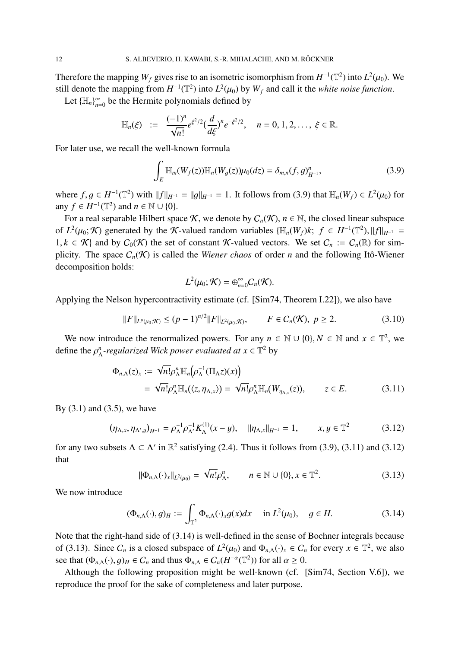Therefore the mapping  $W_f$  gives rise to an isometric isomorphism from  $H^{-1}(\mathbb{T}^2)$  into  $L^2(\mu_0)$ . We still denote the mapping from  $H^{-1}(\mathbb{T}^2)$  into  $L^2(\mu_0)$  by  $W_f$  and call it the *white noise function*.

Let  ${\{\mathbb H_n\}}_{n=0}^\infty$  $\sum_{n=0}^{\infty}$  be the Hermite polynomials defined by

$$
\mathbb{H}_n(\xi) := \frac{(-1)^n}{\sqrt{n!}} e^{\xi^2/2} \left(\frac{d}{d\xi}\right)^n e^{-\xi^2/2}, \quad n = 0, 1, 2, \ldots, \xi \in \mathbb{R}.
$$

For later use, we recall the well-known formula

$$
\int_{E} \mathbb{H}_{m}(W_{f}(z)) \mathbb{H}_{n}(W_{g}(z)) \mu_{0}(dz) = \delta_{m,n}(f,g)_{H^{-1}}^{n}, \qquad (3.9)
$$

where *f*, *g* ∈ *H*<sup>-1</sup>( $\mathbb{T}^2$ ) with  $||f||_{H^{-1}} = ||g||_{H^{-1}} = 1$ . It follows from (3.9) that  $\mathbb{H}_n(W_f) \in L^2(\mu_0)$  for any  $f \in H^{-1}(\mathbb{T}^2)$  and  $n \in \mathbb{N} \cup \{0\}.$ 

For a real separable Hilbert space K, we denote by  $C_n(\mathcal{K})$ ,  $n \in \mathbb{N}$ , the closed linear subspace of  $L^2(\mu_0; K)$  generated by the K-valued random variables  $\{\mathbb{H}_n(W_f)k; f \in H^{-1}(\mathbb{T}^2), \|f\|_{H^{-1}} =$ 1, *k* ∈ K} and by  $C_0(K)$  the set of constant K-valued vectors. We set  $C_n := C_n(\mathbb{R})$  for simplicity. The space  $C_n(\mathcal{K})$  is called the *Wiener chaos* of order *n* and the following Itô-Wiener decomposition holds:

$$
L^2(\mu_0; \mathcal{K}) = \bigoplus_{n=0}^{\infty} C_n(\mathcal{K}).
$$

Applying the Nelson hypercontractivity estimate (cf. [Sim74, Theorem I.22]), we also have

$$
||F||_{L^{p}(\mu_0; \mathcal{K})} \le (p-1)^{n/2} ||F||_{L^{2}(\mu_0; \mathcal{K})}, \qquad F \in C_n(\mathcal{K}), \ p \ge 2.
$$
 (3.10)

We now introduce the renormalized powers. For any  $n \in \mathbb{N} \cup \{0\}$ ,  $N \in \mathbb{N}$  and  $x \in \mathbb{T}^2$ , we define the  $\rho^n_\lambda$  $\frac{n}{\Lambda}$ -regularized Wick power evaluated at  $x \in \mathbb{T}^2$  by

$$
\Phi_{n,\Lambda}(z)_x := \sqrt{n!} \rho_{\Lambda}^n \mathbb{H}_n(\rho_{\Lambda}^{-1}(\Pi_{\Lambda}z)(x))
$$
  
=  $\sqrt{n!} \rho_{\Lambda}^n \mathbb{H}_n(\langle z, \eta_{\Lambda,x} \rangle) = \sqrt{n!} \rho_{\Lambda}^n \mathbb{H}_n(W_{\eta_{\Lambda,x}}(z)), \qquad z \in E.$  (3.11)

By  $(3.1)$  and  $(3.5)$ , we have

$$
(\eta_{\Lambda,x}, \eta_{\Lambda',y})_{H^{-1}} = \rho_{\Lambda}^{-1} \rho_{\Lambda'}^{-1} K_{\Lambda}^{(1)}(x - y), \quad \|\eta_{\Lambda,x}\|_{H^{-1}} = 1, \qquad x, y \in \mathbb{T}^2 \tag{3.12}
$$

for any two subsets  $\Lambda \subset \Lambda'$  in  $\mathbb{R}^2$  satisfying (2.4). Thus it follows from (3.9), (3.11) and (3.12) that

$$
\|\Phi_{n,\Lambda}(\cdot)_x\|_{L^2(\mu_0)} = \sqrt{n!} \rho_{\Lambda}^n, \qquad n \in \mathbb{N} \cup \{0\}, x \in \mathbb{T}^2. \tag{3.13}
$$

We now introduce

$$
(\Phi_{n,\Lambda}(\cdot), g)_H := \int_{\mathbb{T}^2} \Phi_{n,\Lambda}(\cdot)_x g(x) dx \quad \text{in } L^2(\mu_0), \quad g \in H. \tag{3.14}
$$

Note that the right-hand side of (3.14) is well-defined in the sense of Bochner integrals because of (3.13). Since  $C_n$  is a closed subspace of  $L^2(\mu_0)$  and  $\Phi_{n,\Lambda}(\cdot)_x \in C_n$  for every  $x \in \mathbb{T}^2$ , we also see that  $(\Phi_{n,\Lambda}(\cdot), g)_H \in C_n$  and thus  $\Phi_{n,\Lambda} \in C_n(H^{-\alpha}(\mathbb{T}^2))$  for all  $\alpha \geq 0$ .

Although the following proposition might be well-known (cf. [Sim74, Section V.6]), we reproduce the proof for the sake of completeness and later purpose.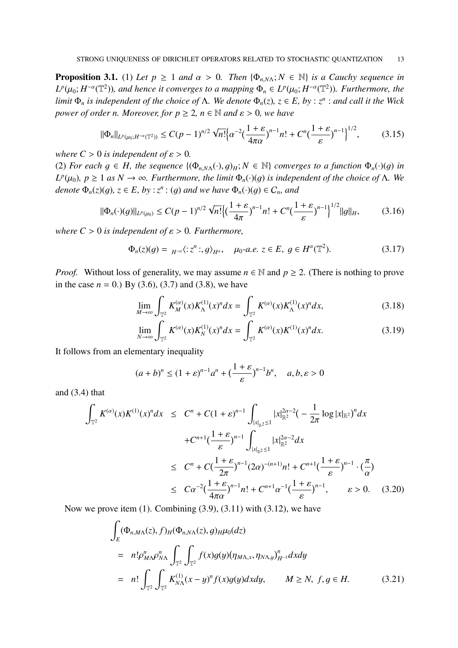**Proposition 3.1.** (1) Let  $p \ge 1$  and  $\alpha > 0$ . Then  $\{\Phi_{n,N\Lambda}; N \in \mathbb{N}\}\)$  is a Cauchy sequence in  $L^p(\mu_0; H^{-\alpha}(\mathbb{T}^2))$ , and hence it converges to a mapping  $\Phi_n \in L^p(\mu_0; H^{-\alpha}(\mathbb{T}^2))$ . Furthermore, the *limit*  $\Phi_n$  *is independent of the choice of*  $\Lambda$ . We denote  $\Phi_n(z)$ ,  $z \in E$ , by :  $z^n$  : and call it the Wick *power of order n. Moreover, for*  $p \geq 2$ *,*  $n \in \mathbb{N}$  *and*  $\varepsilon > 0$ *, we have* 

$$
\|\Phi_n\|_{L^p(\mu_0;H^{-\alpha}(\mathbb{T}^2))} \le C(p-1)^{n/2} \sqrt{n!} \Big\{ \alpha^{-2} \big(\frac{1+\varepsilon}{4\pi\alpha}\big)^{n-1} n! + C^n \big(\frac{1+\varepsilon}{\varepsilon}\big)^{n-1} \Big\}^{1/2},\tag{3.15}
$$

*where*  $C > 0$  *is independent of*  $\varepsilon > 0$ *.* 

(2) *For each*  $g \in H$ *, the sequence*  $\{(\Phi_{n,N\Lambda}(\cdot), g)_H : N \in \mathbb{N}\}\)$  *converges to a function*  $\Phi_n(\cdot)(g)$  *in L*<sup>*p*</sup>( $μ_0$ )*,*  $p$  ≥ 1 *as*  $N \to ∞$ *. Furthermore, the limit*  $Φ$ <sub>*n*</sub>(·)(*g*) *is independent of the choice of* Λ*. We denote*  $\Phi_n(z)(g)$ ,  $z \in E$ ,  $by : z^n : (g)$  and we have  $\Phi_n(\cdot)(g) \in C_n$ , and

$$
\|\Phi_n(\cdot)(g)\|_{L^p(\mu_0)} \le C(p-1)^{n/2} \sqrt{n!} \Big\{ \Big(\frac{1+\varepsilon}{4\pi}\Big)^{n-1} n! + C^n \Big(\frac{1+\varepsilon}{\varepsilon}\Big)^{n-1} \Big\}^{1/2} \|g\|_H, \tag{3.16}
$$

*where*  $C > 0$  *is independent of*  $\varepsilon > 0$ *. Furthermore,* 

$$
\Phi_n(z)(g) = {}_{H^{-\alpha}}\langle :z^n:,g\rangle_{H^{\alpha}}, \quad \mu_0\text{-}a.e. \ z \in E, \ g \in H^{\alpha}(\mathbb{T}^2). \tag{3.17}
$$

*Proof.* Without loss of generality, we may assume  $n \in \mathbb{N}$  and  $p \ge 2$ . (There is nothing to prove in the case  $n = 0$ .) By (3.6), (3.7) and (3.8), we have

$$
\lim_{M \to \infty} \int_{\mathbb{T}^2} K_M^{(\alpha)}(x) K_{\Lambda}^{(1)}(x)^n dx = \int_{\mathbb{T}^2} K^{(\alpha)}(x) K_{\Lambda}^{(1)}(x)^n dx,
$$
\n(3.18)

$$
\lim_{N \to \infty} \int_{\mathbb{T}^2} K^{(\alpha)}(x) K_N^{(1)}(x)^n dx = \int_{\mathbb{T}^2} K^{(\alpha)}(x) K^{(1)}(x)^n dx.
$$
 (3.19)

It follows from an elementary inequality

$$
(a+b)^n \le (1+\varepsilon)^{n-1}a^n + \left(\frac{1+\varepsilon}{\varepsilon}\right)^{n-1}b^n, \quad a,b,\varepsilon > 0
$$

and (3.4) that

$$
\int_{\mathbb{T}^2} K^{(\alpha)}(x)K^{(1)}(x)^n dx \leq C^n + C(1+\varepsilon)^{n-1} \int_{|x|_{\mathbb{R}^2} \leq 1} |x|_{\mathbb{R}^2}^{2\alpha-2} \left(-\frac{1}{2\pi} \log |x|_{\mathbb{R}^2}\right)^n dx
$$
  
+  $C^{n+1} \left(\frac{1+\varepsilon}{\varepsilon}\right)^{n-1} \int_{|x|_{\mathbb{R}^2} \leq 1} |x|_{\mathbb{R}^2}^{2\alpha-2} dx$   
 $\leq C^n + C \left(\frac{1+\varepsilon}{2\pi}\right)^{n-1} (2\alpha)^{-(n+1)} n! + C^{n+1} \left(\frac{1+\varepsilon}{\varepsilon}\right)^{n-1} \cdot \left(\frac{\pi}{\alpha}\right)$   
 $\leq C\alpha^{-2} \left(\frac{1+\varepsilon}{4\pi\alpha}\right)^{n-1} n! + C^{n+1} \alpha^{-1} \left(\frac{1+\varepsilon}{\varepsilon}\right)^{n-1}, \qquad \varepsilon > 0.$  (3.20)

Now we prove item  $(1)$ . Combining  $(3.9)$ ,  $(3.11)$  with  $(3.12)$ , we have

$$
\int_{E} (\Phi_{n,M\Lambda}(z), f)_H (\Phi_{n,N\Lambda}(z), g)_H \mu_0 (dz)
$$
\n
$$
= n! \rho_{M\Lambda}^n \rho_{N\Lambda}^n \int_{\mathbb{T}^2} \int_{\mathbb{T}^2} f(x) g(y) (\eta_{M\Lambda,x}, \eta_{N\Lambda,y})_{H^{-1}}^n dx dy
$$
\n
$$
= n! \int_{\mathbb{T}^2} \int_{\mathbb{T}^2} K_{N\Lambda}^{(1)} (x - y)^n f(x) g(y) dx dy, \qquad M \ge N, \ f, g \in H. \tag{3.21}
$$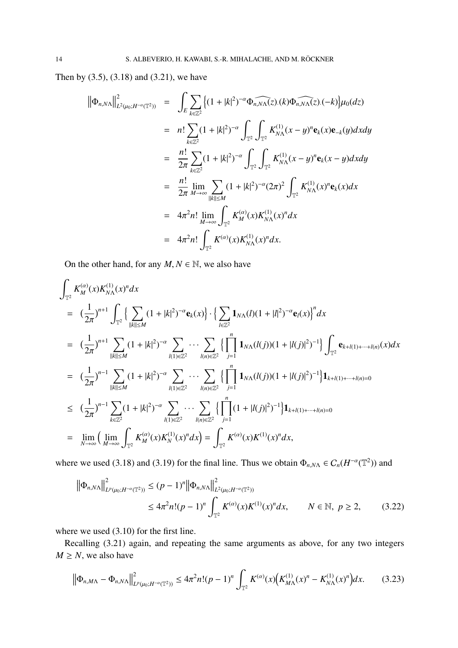Then by (3.5), (3.18) and (3.21), we have

$$
\begin{split}\n\left\|\Phi_{n,N\Lambda}\right\|_{L^{2}(\mu_{0};H^{-\alpha}(\mathbb{T}^{2}))}^{2} &= \int_{E} \sum_{k\in\mathbb{Z}^{2}} \left\{ (1+|k|^{2})^{-\alpha} \widehat{\Phi_{n,N\Lambda}(z)}.(k) \widehat{\Phi_{n,N\Lambda}(z)}.(-k)\right\} \mu_{0}(dz) \\
&= n! \sum_{k\in\mathbb{Z}^{2}} (1+|k|^{2})^{-\alpha} \int_{\mathbb{T}^{2}} \int_{\mathbb{T}^{2}} K_{N\Lambda}^{(1)}(x-y)^{n} \mathbf{e}_{k}(x) \mathbf{e}_{-k}(y) dx dy \\
&= \frac{n!}{2\pi} \sum_{k\in\mathbb{Z}^{2}} (1+|k|^{2})^{-\alpha} \int_{\mathbb{T}^{2}} \int_{\mathbb{T}^{2}} K_{N\Lambda}^{(1)}(x-y)^{n} \mathbf{e}_{k}(x-y) dx dy \\
&= \frac{n!}{2\pi} \lim_{M\to\infty} \sum_{\|k\| \le M} (1+|k|^{2})^{-\alpha} (2\pi)^{2} \int_{\mathbb{T}^{2}} K_{N\Lambda}^{(1)}(x)^{n} \mathbf{e}_{k}(x) dx \\
&= 4\pi^{2} n! \lim_{M\to\infty} \int_{\mathbb{T}^{2}} K_{M}^{(\alpha)}(x) K_{N\Lambda}^{(1)}(x)^{n} dx \\
&= 4\pi^{2} n! \int_{\mathbb{T}^{2}} K^{(\alpha)}(x) K_{N\Lambda}^{(1)}(x)^{n} dx.\n\end{split}
$$

On the other hand, for any  $M, N \in \mathbb{N}$ , we also have

$$
\int_{\mathbb{T}^2} K_M^{(\alpha)}(x) K_{N\Lambda}^{(1)}(x)^n dx
$$
\n
$$
= \left(\frac{1}{2\pi}\right)^{n+1} \int_{\mathbb{T}^2} \left\{ \sum_{\substack{||k|| \le M}} (1+|k|^2)^{-\alpha} \mathbf{e}_k(x) \right\} \cdot \left\{ \sum_{l \in \mathbb{Z}^2} \mathbf{1}_{N\Lambda}(l)(1+|l|^2)^{-\alpha} \mathbf{e}_l(x) \right\}^n dx
$$
\n
$$
= \left(\frac{1}{2\pi}\right)^{n+1} \sum_{\substack{||k|| \le M}} (1+|k|^2)^{-\alpha} \sum_{l(1) \in \mathbb{Z}^2} \cdots \sum_{\substack{l(n) \in \mathbb{Z}^2}} \left\{ \prod_{j=1}^n \mathbf{1}_{N\Lambda}(l(j))(1+|l(j)|^2)^{-1} \right\} \int_{\mathbb{T}^2} \mathbf{e}_{k+l(1)+\cdots+l(n)}(x) dx
$$
\n
$$
= \left(\frac{1}{2\pi}\right)^{n-1} \sum_{\substack{||k|| \le M}} (1+|k|^2)^{-\alpha} \sum_{l(1) \in \mathbb{Z}^2} \cdots \sum_{\substack{l(n) \in \mathbb{Z}^2}} \left\{ \prod_{j=1}^n \mathbf{1}_{N\Lambda}(l(j))(1+|l(j)|^2)^{-1} \right\} \mathbf{1}_{k+l(1)+\cdots+l(n)=0}
$$
\n
$$
\le \left(\frac{1}{2\pi}\right)^{n-1} \sum_{k \in \mathbb{Z}^2} (1+|k|^2)^{-\alpha} \sum_{\substack{l(1) \in \mathbb{Z}^2}} \cdots \sum_{\substack{l(n) \in \mathbb{Z}^2}} \left\{ \prod_{j=1}^n (1+|l(j)|^2)^{-1} \right\} \mathbf{1}_{k+l(1)+\cdots+l(n)=0}
$$
\n
$$
= \lim_{N \to \infty} \left( \lim_{M \to \infty} \int_{\mathbb{T}^2} K_M^{(\alpha)}(x) K_N^{(1)}(x)^n dx \right) = \int_{\mathbb{T}^2} K^{(\alpha)}(x) K^{(1)}(x)^n dx,
$$

where we used (3.18) and (3.19) for the final line. Thus we obtain  $\Phi_{n,N\Lambda} \in C_n(H^{-\alpha}(\mathbb{T}^2))$  and

$$
\|\Phi_{n,N\Lambda}\|_{L^p(\mu_0;H^{-\alpha}(\mathbb{T}^2))}^2 \le (p-1)^n \|\Phi_{n,N\Lambda}\|_{L^2(\mu_0;H^{-\alpha}(\mathbb{T}^2))}^2
$$
  

$$
\le 4\pi^2 n!(p-1)^n \int_{\mathbb{T}^2} K^{(\alpha)}(x)K^{(1)}(x)^n dx, \qquad N \in \mathbb{N}, \ p \ge 2,
$$
 (3.22)

where we used (3.10) for the first line.

Recalling (3.21) again, and repeating the same arguments as above, for any two integers  $M \geq N$ , we also have

$$
\left\|\Phi_{n,M\Lambda}-\Phi_{n,N\Lambda}\right\|_{L^p(\mu_0;H^{-\alpha}(\mathbb{T}^2))}^2 \leq 4\pi^2 n!(p-1)^n \int_{\mathbb{T}^2} K^{(\alpha)}(x) \left(K_{M\Lambda}^{(1)}(x)^n-K_{N\Lambda}^{(1)}(x)^n\right) dx. \tag{3.23}
$$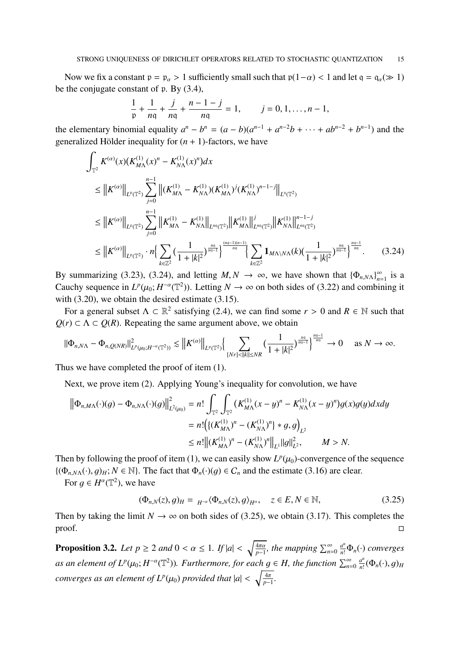Now we fix a constant  $p = p_\alpha > 1$  sufficiently small such that  $p(1-\alpha) < 1$  and let  $q = q_\alpha (\gg 1)$ be the conjugate constant of p. By (3.4),

$$
\frac{1}{p} + \frac{1}{nq} + \frac{j}{nq} + \frac{n-1-j}{nq} = 1, \qquad j = 0, 1, \dots, n-1,
$$

the elementary binomial equality  $a^n - b^n = (a - b)(a^{n-1} + a^{n-2}b + \cdots + ab^{n-2} + b^{n-1})$  and the generalized Hölder inequality for  $(n + 1)$ -factors, we have

$$
\int_{\mathbb{T}^2} K^{(\alpha)}(x) (K_{M\Lambda}^{(1)}(x)^n - K_{N\Lambda}^{(1)}(x)^n) dx
$$
\n
$$
\leq \|K^{(\alpha)}\|_{L^p(\mathbb{T}^2)} \sum_{j=0}^{n-1} \|(K_{M\Lambda}^{(1)} - K_{N\Lambda}^{(1)})(K_{M\Lambda}^{(1)})^j (K_{N\Lambda}^{(1)})^{n-1-j}\|_{L^q(\mathbb{T}^2)}
$$
\n
$$
\leq \|K^{(\alpha)}\|_{L^p(\mathbb{T}^2)} \sum_{j=0}^{n-1} \|K_{M\Lambda}^{(1)} - K_{N\Lambda}^{(1)}\|_{L^{nq}(\mathbb{T}^2)} \|K_{M\Lambda}^{(1)}\|_{L^{nq}(\mathbb{T}^2)}^j \|K_{N\Lambda}^{(1)}\|_{L^{nq}(\mathbb{T}^2)}^{n-1-j}
$$
\n
$$
\leq \|K^{(\alpha)}\|_{L^p(\mathbb{T}^2)} \cdot n \Big\{ \sum_{k \in \mathbb{Z}^2} \big(\frac{1}{1+|k|^2}\big)^{\frac{nq}{nq-1}} \Big\}^{\frac{(nq-1)(n-1)}{nq}} \Big\{ \sum_{k \in \mathbb{Z}^2} \mathbf{1}_{M\Lambda \setminus N\Lambda}(k) \big(\frac{1}{1+|k|^2}\big)^{\frac{nq}{nq-1}} \Big\}^{\frac{nq-1}{nq}}. \tag{3.24}
$$

By summarizing (3.23), (3.24), and letting  $M, N \rightarrow \infty$ , we have shown that  ${\lbrace \Phi_{n,N\Lambda} \rbrace}_{n=N}^{\infty}$  $\sum_{n=1}^{\infty}$  is a Cauchy sequence in  $L^p(\mu_0; H^{-\alpha}(\mathbb{T}^2))$ . Letting  $N \to \infty$  on both sides of (3.22) and combining it with (3.20), we obtain the desired estimate (3.15).

For a general subset  $\Lambda \subset \mathbb{R}^2$  satisfying (2.4), we can find some  $r > 0$  and  $R \in \mathbb{N}$  such that  $Q(r) \subset \Lambda \subset Q(R)$ . Repeating the same argument above, we obtain

$$
\|\Phi_{n,N\Lambda}-\Phi_{n,Q(NR)}\|_{L^p(\mu_0;H^{-\alpha}(\mathbb{T}^2))}^2\lesssim \left\|K^{(\alpha)}\right\|_{L^p(\mathbb{T}^2)}\left\{\sum_{[Nr]<\|k\|\leq NR}\left(\frac{1}{1+|k|^2}\right)^{\frac{n\alpha}{n\alpha-1}}\right\}^{\frac{n\alpha-1}{n\alpha}}\to 0\quad\text{ as }N\to\infty.
$$

Thus we have completed the proof of item (1).

Next, we prove item (2). Applying Young's inequality for convolution, we have

$$
\begin{aligned} \left\| \Phi_{n,M\Lambda}(\cdot)(g) - \Phi_{n,N\Lambda}(\cdot)(g) \right\|_{L^2(\mu_0)}^2 &= n! \int_{\mathbb{T}^2} \int_{\mathbb{T}^2} \left( K_{M\Lambda}^{(1)}(x-y)^n - K_{N\Lambda}^{(1)}(x-y)^n \right) g(x)g(y) dx dy \\ &= n! \left( \left\{ (K_{M\Lambda}^{(1)})^n - (K_{N\Lambda}^{(1)})^n \right\} * g, g \right)_{L^2} \\ &\le n! \left\| (K_{M\Lambda}^{(1)})^n - (K_{N\Lambda}^{(1)})^n \right\|_{L^1} \|g\|_{L^2}^2, \qquad M > N. \end{aligned}
$$

Then by following the proof of item (1), we can easily show  $L^p(\mu_0)$ -convergence of the sequence  $\{(\Phi_{n,N\Lambda}(\cdot), g)_H; N \in \mathbb{N}\}\)$ . The fact that  $\Phi_n(\cdot)(g) \in C_n$  and the estimate (3.16) are clear.

For  $g \in H^{\alpha}(\mathbb{T}^2)$ , we have

$$
(\Phi_{n,N}(z),g)_H = {}_{H^{-\alpha}} \langle \Phi_{n,N}(z),g \rangle_{H^{\alpha}}, \quad z \in E, N \in \mathbb{N},
$$
\n(3.25)

Then by taking the limit  $N \to \infty$  on both sides of (3.25), we obtain (3.17). This completes the proof.  $\Box$ 

**Proposition 3.2.** *Let*  $p \ge 2$  *and*  $0 < \alpha \le 1$ *. If*  $|a| < \sqrt{\frac{4\pi\alpha}{n-1}}$  $\frac{4\pi\alpha}{p-1}$ *, the mapping*  $\sum_{n=0}^{\infty} \frac{a^n}{n!} \Phi_n(\cdot)$  *converges as an element of*  $L^p(\mu_0; H^{-\alpha}(\mathbb{T}^2))$ *. Furthermore, for each*  $g \in H$ *, the function*  $\sum_{n=0}^{\infty} \frac{a^n}{n!}$  $\frac{a^n}{n!}(\Phi_n(\cdot),g)_H$ *converges as an element of*  $L^p(\mu_0)$  *provided that*  $|a| < \sqrt{\frac{4\pi}{p-1}}$ *p*−1 *.*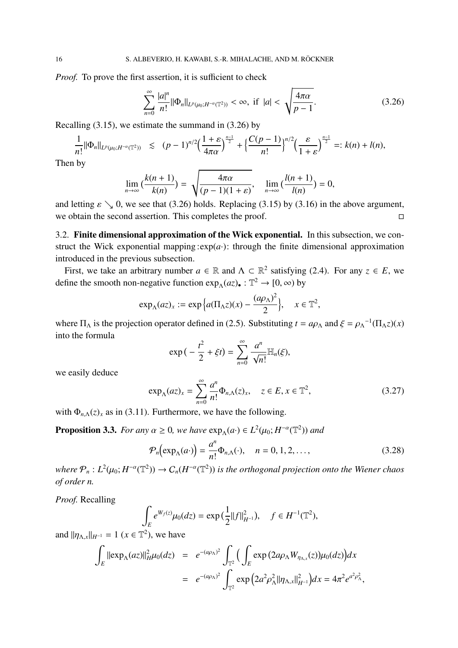*Proof.* To prove the first assertion, it is sufficient to check

$$
\sum_{n=0}^{\infty} \frac{|a|^n}{n!} \|\Phi_n\|_{L^p(\mu_0; H^{-\alpha}(\mathbb{T}^2))} < \infty, \text{ if } |a| < \sqrt{\frac{4\pi\alpha}{p-1}}. \tag{3.26}
$$

Recalling (3.15), we estimate the summand in (3.26) by

$$
\frac{1}{n!} \|\Phi_n\|_{L^p(\mu_0; H^{-\alpha}(\mathbb{T}^2))} \le (p-1)^{n/2} \Big(\frac{1+\varepsilon}{4\pi\alpha}\Big)^{\frac{n-1}{2}} + \Big\{\frac{C(p-1)}{n!}\Big\}^{n/2} \Big(\frac{\varepsilon}{1+\varepsilon}\Big)^{\frac{n-1}{2}} =: k(n) + l(n),
$$

Then by

$$
\lim_{n\to\infty}\left(\frac{k(n+1)}{k(n)}\right)=\sqrt{\frac{4\pi\alpha}{(p-1)(1+\varepsilon)}},\quad \lim_{n\to\infty}\left(\frac{l(n+1)}{l(n)}\right)=0,
$$

and letting  $\varepsilon \searrow 0$ , we see that (3.26) holds. Replacing (3.15) by (3.16) in the above argument, we obtain the second assertion. This completes the proof.  $\Box$ 

3.2. Finite dimensional approximation of the Wick exponential. In this subsection, we construct the Wick exponential mapping  $\exp(a)$ : through the finite dimensional approximation introduced in the previous subsection.

First, we take an arbitrary number  $a \in \mathbb{R}$  and  $\Lambda \subset \mathbb{R}^2$  satisfying (2.4). For any  $z \in E$ , we define the smooth non-negative function  $\exp_{\Lambda}(az)$ .  $\mathbb{T}^2 \to [0, \infty)$  by

$$
\exp_{\Lambda}(az)_x := \exp\Big\{a(\Pi_{\Lambda}z)(x) - \frac{(a\rho_{\Lambda})^2}{2}\Big\}, \quad x \in \mathbb{T}^2,
$$

where  $\Pi_{\Lambda}$  is the projection operator defined in (2.5). Substituting  $t = a\rho_{\Lambda}$  and  $\xi = \rho_{\Lambda}^{-1}(\Pi_{\Lambda}z)(x)$ into the formula

$$
\exp\big(-\frac{t^2}{2}+\xi t\big)=\sum_{n=0}^{\infty}\frac{a^n}{\sqrt{n!}}\mathbb{H}_n(\xi),
$$

we easily deduce

$$
\exp_{\Lambda}(az)_x = \sum_{n=0}^{\infty} \frac{a^n}{n!} \Phi_{n,\Lambda}(z)_x, \quad z \in E, x \in \mathbb{T}^2,
$$
\n(3.27)

with  $\Phi_{n,\Lambda}(z)$ <sub>x</sub> as in (3.11). Furthermore, we have the following.

**Proposition 3.3.** *For any*  $\alpha \ge 0$ *, we have*  $exp_{\Lambda}(a \cdot) \in L^2(\mu_0; H^{-\alpha}(\mathbb{T}^2))$  *and* 

$$
\mathcal{P}_n\left(\exp_\Lambda(a\cdot)\right) = \frac{a^n}{n!} \Phi_{n,\Lambda}(\cdot), \quad n = 0, 1, 2, \dots,
$$
\n(3.28)

where  $P_n: L^2(\mu_0; H^{-\alpha}(\mathbb{T}^2)) \to C_n(H^{-\alpha}(\mathbb{T}^2))$  is the orthogonal projection onto the Wiener chaos *of order n.*

*Proof.* Recalling

$$
\int_E e^{W_f(z)} \mu_0(dz) = \exp\big(\frac{1}{2}||f||^2_{H^{-1}}\big), \quad f \in H^{-1}(\mathbb{T}^2),
$$

and  $||\eta_{\Lambda,x}||_{H^{-1}} = 1$  ( $x \in \mathbb{T}^2$ ), we have

$$
\int_{E} ||\exp_{\Lambda}(az)||_{H}^{2} \mu_{0}(dz) = e^{-(a\rho_{\Lambda})^{2}} \int_{\mathbb{T}^{2}} \Big( \int_{E} \exp(2a\rho_{\Lambda}W_{\eta_{\Lambda,x}}(z)) \mu_{0}(dz) \Big) dx \n= e^{-(a\rho_{\Lambda})^{2}} \int_{\mathbb{T}^{2}} \exp(2a^{2}\rho_{\Lambda}^{2} ||\eta_{\Lambda,x}||_{H^{-1}}^{2}) dx = 4\pi^{2} e^{a^{2}\rho_{\Lambda}^{2}},
$$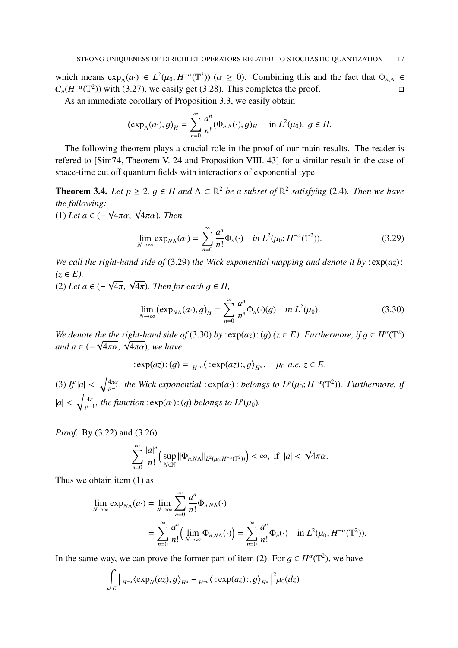which means  $\exp_{\Lambda}(a) \in L^2(\mu_0; H^{-\alpha}(\mathbb{T}^2))$  ( $\alpha \ge 0$ ). Combining this and the fact that  $\Phi_{n,\Lambda}$  $C_n(H^{-\alpha}(\mathbb{T}^2))$  with (3.27), we easily get (3.28). This completes the proof. □

As an immediate corollary of Proposition 3.3, we easily obtain

$$
(\exp_{\Lambda}(a\cdot), g)_H = \sum_{n=0}^{\infty} \frac{a^n}{n!} (\Phi_{n,\Lambda}(\cdot), g)_H \quad \text{in } L^2(\mu_0), \ g \in H.
$$

The following theorem plays a crucial role in the proof of our main results. The reader is refered to [Sim74, Theorem V. 24 and Proposition VIII. 43] for a similar result in the case of space-time cut off quantum fields with interactions of exponential type.

**Theorem 3.4.** Let  $p \geq 2$ ,  $q \in H$  and  $\Lambda \subset \mathbb{R}^2$  be a subset of  $\mathbb{R}^2$  satisfying (2.4). Then we have *the following:* (1) *Let a* ∈ (−  $\sqrt{4\pi\alpha}$ ,  $\sqrt{4\pi\alpha}$ ). Then

$$
\lim_{N \to \infty} \exp_{N\Lambda}(a \cdot) = \sum_{n=0}^{\infty} \frac{a^n}{n!} \Phi_n(\cdot) \quad \text{in } L^2(\mu_0; H^{-\alpha}(\mathbb{T}^2)). \tag{3.29}
$$

*We call the right-hand side of* (3.29) *the Wick exponential mapping and denote it by* : exp(*az*):  $(z ∈ E)$ .

(2) *Let a* ∈ (−  $\sqrt{4\pi}$ ,  $\sqrt{4\pi}$ ). Then for each  $g \in H$ ,

$$
\lim_{N \to \infty} \left( \exp_{N\Lambda}(a \cdot), g \right)_H = \sum_{n=0}^{\infty} \frac{a^n}{n!} \Phi_n(\cdot)(g) \quad \text{in } L^2(\mu_0). \tag{3.30}
$$

*We denote the the right-hand side of (3.30) <i>by* :  $exp(az)$ : (g)  $(z \in E)$ . *Furthermore, if*  $g \in H^{\alpha}(\mathbb{T}^2)$ *and a* ∈ (–  $\sqrt{4\pi\alpha}$ ,  $\sqrt{4\pi\alpha}$ ), we have<br>*and a* ∈ (–  $\sqrt{4\pi\alpha}$ ,  $\sqrt{4\pi\alpha}$ ), we have

$$
:\exp(az):(g)=\,_{H^{-\alpha}}\langle:\exp(az):,g\rangle_{H^{\alpha}},\quad\mu_0\text{-}a.e.\,z\in E.
$$

(3) *If*  $|a| < \sqrt{\frac{4\pi a}{n-1}}$ *p*−1 *, the Wick exponential* : exp(*a*·) : *belongs to L<sup>p</sup>* (µ0; *H* −α (T 2 ))*. Furthermore, if*  $|a| < \sqrt{\frac{4\pi}{n}}$  $\frac{4\pi}{p-1}$ , the function :exp(*a*·): (*g*) *belongs to*  $L^p(\mu_0)$ *.* 

*Proof.* By (3.22) and (3.26)

$$
\sum_{n=0}^{\infty}\frac{|a|^n}{n!}\Big(\sup_{N\in\mathbb{N}}\|\Phi_{n,N\Lambda}\|_{L^2(\mu_0;H^{-\alpha}(\mathbb{T}^2))}\Big)<\infty, \text{ if }|a|<\sqrt{4\pi\alpha}.
$$

Thus we obtain item (1) as

$$
\lim_{N \to \infty} \exp_{N\Lambda}(a \cdot) = \lim_{N \to \infty} \sum_{n=0}^{\infty} \frac{a^n}{n!} \Phi_{n,N\Lambda}(\cdot)
$$
  
= 
$$
\sum_{n=0}^{\infty} \frac{a^n}{n!} \Big( \lim_{N \to \infty} \Phi_{n,N\Lambda}(\cdot) \Big) = \sum_{n=0}^{\infty} \frac{a^n}{n!} \Phi_n(\cdot) \quad \text{in } L^2(\mu_0; H^{-\alpha}(\mathbb{T}^2)).
$$

In the same way, we can prove the former part of item (2). For  $g \in H^{\alpha}(\mathbb{T}^2)$ , we have

$$
\int_{E} \Big|_{H^{-\alpha}} \langle \exp_{N}(az), g \rangle_{H^{\alpha}} - _{H^{-\alpha}} \langle : \exp(az);, g \rangle_{H^{\alpha}} \Big|^{2} \mu_{0}(dz)
$$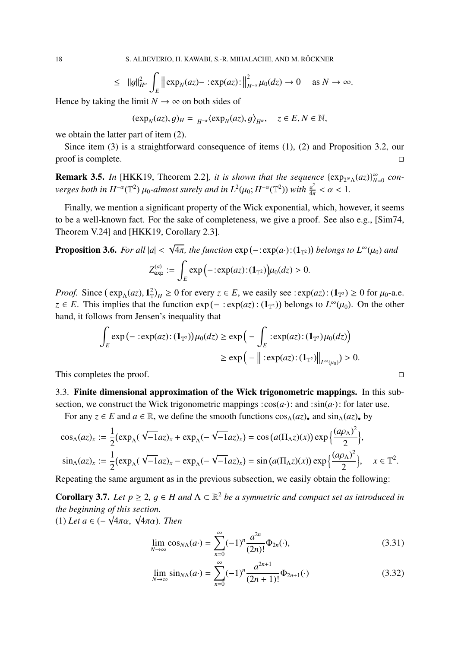18 S. ALBEVERIO, H. KAWABI, S.-R. MIHALACHE, AND M. RÖCKNER

$$
\leq \|g\|_{H^{\alpha}}^2 \int_E \| \exp_N(az) - \operatorname{exp}(az) \cdot \Big\|_{H^{-\alpha}}^2 \mu_0(dz) \to 0 \quad \text{ as } N \to \infty.
$$

Hence by taking the limit  $N \to \infty$  on both sides of

$$
(\exp_N(az),g)_H = {}_{H^{-\alpha}} \langle \exp_N(az),g \rangle_{H^{\alpha}}, \quad z \in E, N \in \mathbb{N},
$$

we obtain the latter part of item (2).

Since item (3) is a straightforward consequence of items (1), (2) and Proposition 3.2, our proof is complete.  $\Box$ 

**Remark 3.5.** In [HKK19, Theorem 2.2], it is shown that the sequence  $\{\exp_{2^N\Lambda}(az)\}_{N}^{\infty}$  $\sum_{N=0}^{\infty}$  con*verges both in H<sup>-α</sup>*( $\mathbb{T}^2$ )  $\mu_0$ -almost surely and in  $L^2(\mu_0; H^{-\alpha}(\mathbb{T}^2))$  with  $\frac{a^2}{4n}$  $\frac{a^2}{4\pi} < \alpha < 1.$ 

Finally, we mention a significant property of the Wick exponential, which, however, it seems to be a well-known fact. For the sake of completeness, we give a proof. See also e.g., [Sim74, Theorem V.24] and [HKK19, Corollary 2.3].

**Proposition 3.6.** For all 
$$
|a| < \sqrt{4\pi}
$$
, the function  $\exp(-:\exp(a\cdot):(1_{\mathbb{T}^2}))$  belongs to  $L^{\infty}(\mu_0)$  and

$$
Z_{\text{exp}}^{(a)} := \int_E \exp\bigl(-\!:\!\exp(az) \!:\! (\mathbf{1}_{\mathbb{T}^2})\bigr) \mu_0(dz) > 0.
$$

*Proof.* Since  $(\exp_{\Lambda}(az), 1^2)_{H} \ge 0$  for every  $z \in E$ , we easily see :  $\exp(az)$ :  $(1_{T^2}) \ge 0$  for  $\mu_0$ -a.e. *z* ∈ *E*. This implies that the function  $exp(- : exp(az) : (1_{\mathbb{T}^2}))$  belongs to  $L^{\infty}(\mu_0)$ . On the other hand, it follows from Jensen's inequality that

$$
\int_{E} \exp\left(-\vcentcolon \exp(az)\vcentcolon (1_{\mathbb{T}^2})\right)\mu_0(dz) \ge \exp\left(-\int_{E} \vcentcolon \exp(az)\vcentcolon (1_{\mathbb{T}^2})\mu_0(dz)\right)
$$
\n
$$
\ge \exp\left(-\left\|\vcentcolon \exp(az)\vcentcolon (1_{\mathbb{T}^2})\right\|_{L^{\infty}(\mu_0)}\right) > 0.
$$

This completes the proof.  $\Box$ 

3.3. Finite dimensional approximation of the Wick trigonometric mappings. In this subsection, we construct the Wick trigonometric mappings  $\cos(a \cdot)$ : and  $\sin(a \cdot)$ : for later use.

For any  $z \in E$  and  $a \in \mathbb{R}$ , we define the smooth functions  $\cos_{\Lambda}(az)$ , and  $\sin_{\Lambda}(az)$ , by

$$
\cos_{\Lambda}(az)_x := \frac{1}{2} \left( \exp_{\Lambda}(\sqrt{-1}az)_x + \exp_{\Lambda}(-\sqrt{-1}az)_x \right) = \cos\left(a(\Pi_{\Lambda}z)(x)\right) \exp\left\{\frac{(a\rho_{\Lambda})^2}{2}\right\},\newline \sin_{\Lambda}(az)_x := \frac{1}{2} \left( \exp_{\Lambda}(\sqrt{-1}az)_x - \exp_{\Lambda}(-\sqrt{-1}az)_x \right) = \sin\left(a(\Pi_{\Lambda}z)(x)\right) \exp\left\{\frac{(a\rho_{\Lambda})^2}{2}\right\},\newline x \in \mathbb{T}^2.
$$

Repeating the same argument as in the previous subsection, we easily obtain the following:

**Corollary 3.7.** Let  $p \geq 2$ ,  $q \in H$  and  $\Lambda \subset \mathbb{R}^2$  be a symmetric and compact set as introduced in *the beginning of this section.* √ (1) *Let a* ∈ (− <sup>4</sup>πα, <sup>√</sup> 4πα)*. Then*

$$
\lim_{N \to \infty} \cos_{N\Lambda}(a \cdot) = \sum_{n=0}^{\infty} (-1)^n \frac{a^{2n}}{(2n)!} \Phi_{2n}(\cdot),\tag{3.31}
$$

$$
\lim_{N \to \infty} \sin_{N\Lambda}(a \cdot) = \sum_{n=0}^{\infty} (-1)^n \frac{a^{2n+1}}{(2n+1)!} \Phi_{2n+1}(\cdot)
$$
\n(3.32)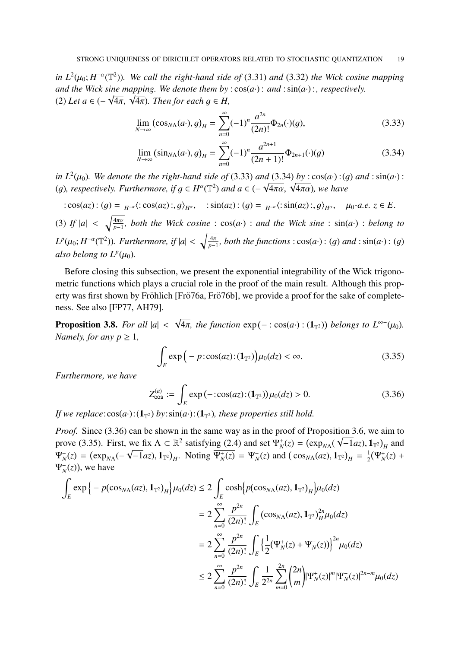*in*  $L^2(\mu_0; H^{-\alpha}(\mathbb{T}^2))$ *. We call the right-hand side of* (3.31) *and* (3.32) *the Wick cosine mapping and the Wick sine mapping. We denote them by* :  $cos(a \cdot)$ : *and* :  $sin(a \cdot)$ :, *respectively.* ana ine wick sine mapping. we aenoie inem by<br>(2) Let a  $\in$  ( $-\sqrt{4\pi}$ ,  $\sqrt{4\pi}$ ). Then for each  $g \in H$ ,

$$
\lim_{N \to \infty} (\cos_{N\Lambda}(a \cdot), g)_H = \sum_{n=0}^{\infty} (-1)^n \frac{a^{2n}}{(2n)!} \Phi_{2n}(\cdot)(g), \tag{3.33}
$$

$$
\lim_{N \to \infty} (\sin_{N\Lambda}(a \cdot), g)_H = \sum_{n=0}^{\infty} (-1)^n \frac{a^{2n+1}}{(2n+1)!} \Phi_{2n+1}(\cdot)(g)
$$
\n(3.34)

*in*  $L^2(\mu_0)$ *. We denote the the right-hand side of* (3.33) *and* (3.34) *by* :  $cos(a \cdot)$  :(g) *and* :  $sin(a \cdot)$  : *in*  $L^2(\mu_0)$ , we denote the the right-nand stae of (3.33) and (3.34) by : cos(a·):(g)<br>(g), respectively. Furthermore, if  $g \in H^{\alpha}(\mathbb{T}^2)$  and  $a \in (-\sqrt{4\pi\alpha}, \sqrt{4\pi\alpha})$ , we have

$$
:\cos(az):(g)=\t_{H^{-\alpha}}\langle:\cos(az):,g\rangle_{H^{\alpha}},\quad:\sin(az):(g)=\t_{H^{-\alpha}}\langle:\sin(az):,g\rangle_{H^{\alpha}},\quad\mu_0-a.e.\;z\in E.
$$

(3) *If*  $|a| < \sqrt{\frac{4\pi a}{n-1}}$ *p*−1 *, both the Wick cosine* : cos(*a*·) : *and the Wick sine* : sin(*a*·) : *belong to*  $L^p(\mu_0; H^{-\alpha}(\mathbb{T}^2))$ *. Furthermore, if*  $|a| < \sqrt{\frac{4\pi}{p-1}}$ *p*−1 *, both the functions* : cos(*a*·) : (g) *and* : sin(*a*·) : (g) *also belong to*  $L^p(\mu_0)$ *.* 

Before closing this subsection, we present the exponential integrability of the Wick trigonometric functions which plays a crucial role in the proof of the main result. Although this property was first shown by Fröhlich [Frö<sup>76a</sup>, Frö<sup>76b]</sup>, we provide a proof for the sake of completeness. See also [FP77, AH79].

Proposition 3.8. *For all* |*a*| < √  $\overline{4\pi}$ , the function  $\exp(-:\cos(a\cdot): (1_{\mathbb{T}^2}))$  belongs to  $L^{\infty-}(\mu_0)$ . *Namely, for any*  $p \geq 1$ *,* 

$$
\int_{E} \exp\Big(-p \cdot \cos(az) \cdot (\mathbf{1}_{\mathbb{T}^2})\Big) \mu_0(dz) < \infty. \tag{3.35}
$$

*Furthermore, we have*

$$
Z_{\cos}^{(a)} := \int_{E} \exp(-:\cos(az):(1_{\mathbb{T}^2})) \mu_0(dz) > 0.
$$
 (3.36)

*If we replace*: $cos(a \cdot)$ :  $(1_{T^2})$  *by*: $sin(a \cdot)$ :  $(1_{T^2})$ *, these properties still hold.* 

*Proof.* Since (3.36) can be shown in the same way as in the proof of Proposition 3.6, we aim to prove (3.35). First, we fix  $\Lambda \subset \mathbb{R}^2$  satisfying (2.4) and set  $\Psi_N^+(z) = (\exp_{N\Lambda}(\sqrt{-1}az), 1_{\mathbb{T}^2})_H$  and  $\Psi_N^-(z) = (\exp_{N\Lambda}(-\sqrt{-1}az), 1_{\mathbb{T}^2})_H$ . Noting  $\overline{\Psi_N^+(z)} = \Psi_N^-(z)$  and  $(\cos_{N\Lambda}(az), 1_{\mathbb{T}^2})_H = \frac{1}{2}$  $\frac{1}{2}(\Psi_N^+(z) +$  $\Psi_N^-(z)$ ), we have

$$
\int_{E} \exp\left\{-p(\cos_{N\Lambda}(az), 1_{\mathbb{T}^2})_H\right\} \mu_0(dz) \le 2 \int_{E} \cosh\left\{p(\cos_{N\Lambda}(az), 1_{\mathbb{T}^2})_H\right\} \mu_0(dz)
$$
\n
$$
= 2 \sum_{n=0}^{\infty} \frac{p^{2n}}{(2n)!} \int_{E} (\cos_{N\Lambda}(az), 1_{\mathbb{T}^2})_H^{2n} \mu_0(dz)
$$
\n
$$
= 2 \sum_{n=0}^{\infty} \frac{p^{2n}}{(2n)!} \int_{E} \left\{ \frac{1}{2} (\Psi_N^+(z) + \Psi_N^-(z)) \right\}^{2n} \mu_0(dz)
$$
\n
$$
\le 2 \sum_{n=0}^{\infty} \frac{p^{2n}}{(2n)!} \int_{E} \frac{1}{2^{2n}} \sum_{m=0}^{2n} {2n \choose m} |\Psi_N^+(z)|^m |\Psi_N^-(z)|^{2n-m} \mu_0(dz)
$$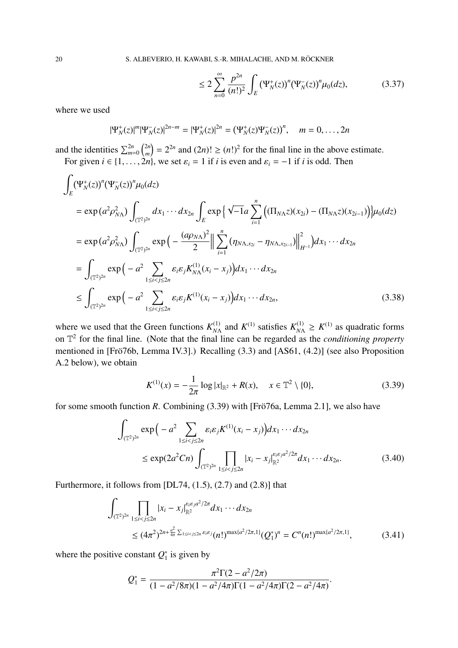20 S. ALBEVERIO, H. KAWABI, S.-R. MIHALACHE, AND M. RÖCKNER

$$
\leq 2\sum_{n=0}^{\infty} \frac{p^{2n}}{(n!)^2} \int_{E} (\Psi_N^+(z))^n (\Psi_N^-(z))^n \mu_0(dz), \tag{3.37}
$$

where we used

$$
|\Psi_N^+(z)|^m |\Psi_N^-(z)|^{2n-m} = |\Psi_N^+(z)|^{2n} = (\Psi_N^+(z)\Psi_N^-(z))^n, \quad m = 0, \dots, 2n
$$

and the identities  $\sum_{m=0}^{2n} \binom{2n}{m}$  $\binom{2n}{m} = 2^{2n}$  and  $(2n)! \ge (n!)^2$  for the final line in the above estimate. For given  $i \in \{1, \ldots, 2n\}$ , we set  $\varepsilon_i = 1$  if *i* is even and  $\varepsilon_i = -1$  if *i* is odd. Then

$$
\int_{E} (\Psi_{N}^{+}(z))^{n} (\Psi_{N}^{-}(z))^{n} \mu_{0}(dz)
$$
\n
$$
= \exp (a^{2} \rho_{NN}^{2}) \int_{(\mathbb{T}^{2})^{2n}} dx_{1} \cdots dx_{2n} \int_{E} \exp \{ \sqrt{-1} a \sum_{i=1}^{n} ((\Pi_{N\Lambda} z)(x_{2i}) - (\Pi_{N\Lambda} z)(x_{2i-1})) \} \mu_{0}(dz)
$$
\n
$$
= \exp (a^{2} \rho_{NN}^{2}) \int_{(\mathbb{T}^{2})^{2n}} \exp \left( -\frac{(a\rho_{NN})^{2}}{2} \Big\| \sum_{i=1}^{n} (\eta_{NN,x_{2i}} - \eta_{NN,x_{2i-1}}) \Big\|_{H^{-1}}^{2} \right) dx_{1} \cdots dx_{2n}
$$
\n
$$
= \int_{(\mathbb{T}^{2})^{2n}} \exp \left( -a^{2} \sum_{1 \leq i < j \leq 2n} \varepsilon_{i} \varepsilon_{j} K_{NN}^{(1)}(x_{i} - x_{j}) dx_{1} \cdots dx_{2n}
$$
\n
$$
\leq \int_{(\mathbb{T}^{2})^{2n}} \exp \left( -a^{2} \sum_{1 \leq i < j \leq 2n} \varepsilon_{i} \varepsilon_{j} K^{(1)}(x_{i} - x_{j}) dx_{1} \cdots dx_{2n}, \qquad (3.38)
$$

where we used that the Green functions  $K_{N}^{(1)}$  $N_A^{(1)}$  and  $K^{(1)}$  satisfies  $K_{N\Lambda}^{(1)} \ge K^{(1)}$  as quadratic forms on T 2 for the final line. (Note that the final line can be regarded as the *conditioning property* mentioned in [Frö76b, Lemma IV.3].) Recalling  $(3.3)$  and [AS61,  $(4.2)$ ] (see also Proposition A.2 below), we obtain

$$
K^{(1)}(x) = -\frac{1}{2\pi} \log |x|_{\mathbb{R}^2} + R(x), \quad x \in \mathbb{T}^2 \setminus \{0\},\tag{3.39}
$$

for some smooth function *R*. Combining (3.39) with [Frö76a, Lemma 2.1], we also have

$$
\int_{(\mathbb{T}^2)^{2n}} \exp\Big(-a^2 \sum_{1 \le i < j \le 2n} \varepsilon_i \varepsilon_j K^{(1)}(x_i - x_j)\Big) dx_1 \cdots dx_{2n} \le \exp(2a^2 C n) \int_{(\mathbb{T}^2)^{2n}} \prod_{1 \le i < j \le 2n} |x_i - x_j|_{\mathbb{R}^2}^{\varepsilon_i \varepsilon_j a^2 / 2\pi} dx_1 \cdots dx_{2n}.\tag{3.40}
$$

Furthermore, it follows from  $[DL74, (1.5), (2.7)$  and  $(2.8)]$  that

$$
\int_{(\mathbb{T}^2)^{2n}} \prod_{1 \le i < j \le 2n} |x_i - x_j|_{\mathbb{R}^2}^{\varepsilon_i \varepsilon_j a^2/2\pi} dx_1 \cdots dx_{2n} \le (4\pi^2)^{2n + \frac{a^2}{4\pi} \sum_{1 \le i < j \le 2n} \varepsilon_i \varepsilon_j} (n!)^{\max\{a^2/2\pi, 1\}} (Q_1^*)^n = C^n (n!)^{\max\{a^2/2\pi, 1\}}, \tag{3.41}
$$

where the positive constant  $Q_1^*$  $i_1^*$  is given by

$$
Q_1^* = \frac{\pi^2 \Gamma(2 - a^2/2\pi)}{(1 - a^2/8\pi)(1 - a^2/4\pi)\Gamma(1 - a^2/4\pi)\Gamma(2 - a^2/4\pi)}.
$$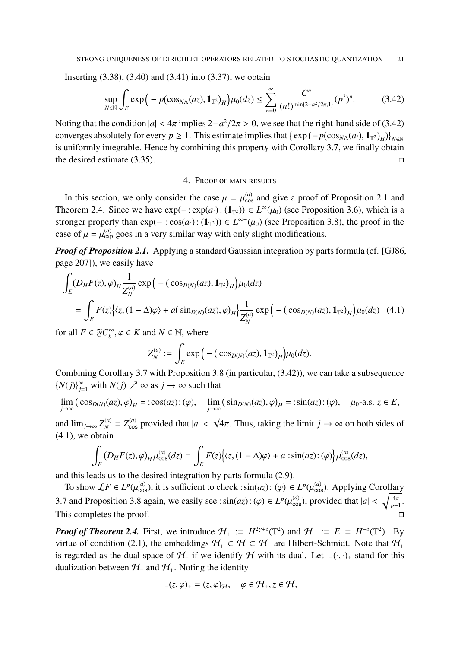Inserting (3.38), (3.40) and (3.41) into (3.37), we obtain

$$
\sup_{N \in \mathbb{N}} \int_{E} \exp\Big(-p(\cos_{N\Lambda}(az), \mathbf{1}_{\mathbb{T}^2})_{H}\Big) \mu_{0}(dz) \leq \sum_{n=0}^{\infty} \frac{C^{n}}{(n!)^{\min\{2-a^2/2\pi, 1\}}}(p^2)^{n}.
$$
 (3.42)

Noting that the condition  $|a| < 4\pi$  implies  $2 - a^2/2\pi > 0$ , we see that the right-hand side of (3.42) converges absolutely for every  $p \ge 1$ . This estimate implies that  $\{ \exp(-p(\cos_{N\Lambda}(a\cdot), \mathbf{1}_{\mathbb{T}^2})_H) \}_{N \in \mathbb{N}}$ is uniformly integrable. Hence by combining this property with Corollary 3.7, we finally obtain the desired estimate (3.35).  $\Box$ 

### 4. Proof of main results

In this section, we only consider the case  $\mu = \mu_{\cos}^{(a)}$  and give a proof of Proposition 2.1 and Theorem 2.4. Since we have  $exp(-:exp(a):(1_{\mathbb{T}^2})) \in L^{\infty}(\mu_0)$  (see Proposition 3.6), which is a stronger property than  $exp(-:cos(a \cdot): (1_{\mathbb{T}^2})) \in L^{\infty}(\mu_0)$  (see Proposition 3.8), the proof in the case of  $\mu = \mu_{\text{exp}}^{(a)}$  goes in a very similar way with only slight modifications.

*Proof of Proposition 2.1.* Applying a standard Gaussian integration by parts formula (cf. [GJ86, page 207]), we easily have

$$
\int_{E} (D_{H} F(z), \varphi)_{H} \frac{1}{Z_{N}^{(a)}} \exp \Big( - (\cos_{D(N)} (az), \mathbf{1}_{T^{2}})_{H} \Big) \mu_{0}(dz)
$$
\n
$$
= \int_{E} F(z) \Big\{ \langle z, (1 - \Delta)\varphi \rangle + a(\sin_{D(N)} (az), \varphi)_{H} \Big\} \frac{1}{Z_{N}^{(a)}} \exp \Big( - (\cos_{D(N)} (az), \mathbf{1}_{T^{2}})_{H} \Big) \mu_{0}(dz) \quad (4.1)
$$

for all  $F \in \mathfrak{F}C^{\infty}_{h}$  $b^{\infty}, \varphi \in K$  and  $N \in \mathbb{N}$ , where

$$
Z_N^{(a)}:=\int_E \exp\Big(-( \cos_{D(N)}(a z),\mathbf{1}_{\mathbb{T}^2})_H\Big)\mu_0(d z).
$$

Combining Corollary 3.7 with Proposition 3.8 (in particular, (3.42)), we can take a subsequence  $\{N(j)\}_{j=1}^{\infty}$  with  $N(j) \nearrow \infty$  as  $j \to \infty$  such that

$$
\lim_{j \to \infty} (\cos_{D(N)}(az), \varphi)_H = : \cos(az) : (\varphi), \quad \lim_{j \to \infty} (\sin_{D(N)}(az), \varphi)_H = : \sin(az) : (\varphi), \quad \mu_0\text{-a.s. } z \in E,
$$

and  $\lim_{j\to\infty} Z_N^{(a)} = Z_{\text{cos}}^{(a)}$  provided that  $|a| <$  $\overline{4\pi}$ . Thus, taking the limit  $j \to \infty$  on both sides of  $(4.1)$ , we obtain

$$
\int_{E} (D_{H} F(z), \varphi)_{H} \mu_{\cos}^{(a)}(dz) = \int_{E} F(z) \Big\{ \langle z, (1 - \Delta) \varphi \rangle + a : \sin(az) : (\varphi) \Big\} \mu_{\cos}^{(a)}(dz),
$$

and this leads us to the desired integration by parts formula (2.9).

To show  $\mathcal{L}F \in L^p(\mu_{\text{cos}}^{(a)})$ , it is sufficient to check :  $\sin(az)$ :  $(\varphi) \in L^p(\mu_{\text{cos}}^{(a)})$ . Applying Corollary 3.7 and Proposition 3.8 again, we easily see :  $sin(az)$ : ( $\varphi$ )  $\in L^p(\mu_{\cos}^{(a)})$ , provided that  $|a| < \sqrt{\frac{4\pi}{p-1}}$  $\frac{4\pi}{p-1}$ . This completes the proof.

*Proof of Theorem 2.4.* First, we introduce  $H_+ := H^{2\gamma+\delta}(\mathbb{T}^2)$  and  $H_- := E = H^{-\delta}(\mathbb{T}^2)$ . By virtue of condition (2.1), the embeddings  $H_+ \subset H \subset H_-$  are Hilbert-Schmidt. Note that  $H_+$ is regarded as the dual space of  $H_$ – if we identify H with its dual. Let  $-(\cdot, \cdot)_+$  stand for this dualization between  $H_-\$  and  $H_+$ . Noting the identity

$$
_{-}(z,\varphi)_+=(z,\varphi)_\mathcal{H},\quad \varphi\in\mathcal{H}_+,z\in\mathcal{H},
$$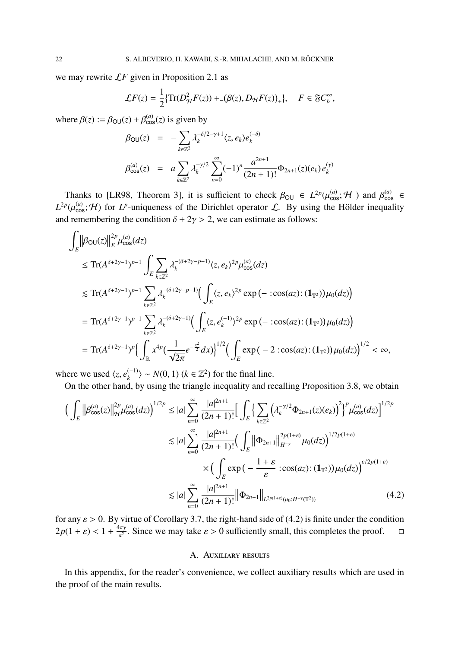we may rewrite L*F* given in Proposition 2.1 as

$$
\mathcal{L}F(z) = \frac{1}{2} \{ \operatorname{Tr}(D_{\mathcal{H}}^2 F(z)) + (\beta(z), D_{\mathcal{H}} F(z))_+ \}, \quad F \in \mathfrak{F}C_b^{\infty},
$$

where  $\beta(z) := \beta_{\text{OU}}(z) + \beta_{\text{cos}}^{(a)}(z)$  is given by

$$
\beta_{\text{OU}}(z) = -\sum_{k \in \mathbb{Z}^2} \lambda_k^{-\delta/2 - \gamma + 1} \langle z, e_k \rangle e_k^{(-\delta)}
$$
\n
$$
\beta_{\text{cos}}^{(a)}(z) = a \sum_{k \in \mathbb{Z}^2} \lambda_k^{-\gamma/2} \sum_{n=0}^{\infty} (-1)^n \frac{a^{2n+1}}{(2n+1)!} \Phi_{2n+1}(z)(e_k) e_k^{(\gamma)}
$$

Thanks to [LR98, Theorem 3], it is sufficient to check  $\beta_{\text{OU}} \in L^{2p}(\mu_{\cos}^{(a)}; \mathcal{H}_-)$  and  $\beta_{\cos}^{(a)} \in$  $L^{2p}(\mu_{\cos}^{(a)}; \mathcal{H})$  for *L*<sup>*p*</sup>-uniqueness of the Dirichlet operator *L*. By using the Hölder inequality and remembering the condition  $\delta + 2\gamma > 2$ , we can estimate as follows:

$$
\int_{E} \|\beta_{\text{OU}}(z)\|_{E}^{2p} \mu_{\text{cos}}^{(a)}(dz)
$$
\n
$$
\leq \text{Tr}(A^{\delta+2\gamma-1})^{p-1} \int_{E} \sum_{k \in \mathbb{Z}^{2}} \lambda_{k}^{-(\delta+2\gamma-p-1)} \langle z, e_{k} \rangle^{2p} \mu_{\text{cos}}^{(a)}(dz)
$$
\n
$$
\leq \text{Tr}(A^{\delta+2\gamma-1})^{p-1} \sum_{k \in \mathbb{Z}^{2}} \lambda_{k}^{-(\delta+2\gamma-p-1)} \Big( \int_{E} \langle z, e_{k} \rangle^{2p} \exp(-\ \text{cos}(az) : (\mathbf{1}_{\mathbb{T}^{2}})) \mu_{0}(dz) \Big)
$$
\n
$$
= \text{Tr}(A^{\delta+2\gamma-1})^{p-1} \sum_{k \in \mathbb{Z}^{2}} \lambda_{k}^{-(\delta+2\gamma-1)} \Big( \int_{E} \langle z, e_{k}^{(-1)} \rangle^{2p} \exp(-\ \text{cos}(az) : (\mathbf{1}_{\mathbb{T}^{2}})) \mu_{0}(dz) \Big)
$$
\n
$$
= \text{Tr}(A^{\delta+2\gamma-1})^{p} \Big\{ \int_{\mathbb{R}} x^{4p} \Big( \frac{1}{\sqrt{2\pi}} e^{-\frac{x^{2}}{2}} dx \Big) \Big\}^{1/2} \Big( \int_{E} \exp(-2 \ \text{cos}(az) : (\mathbf{1}_{\mathbb{T}^{2}})) \mu_{0}(dz) \Big)^{1/2} < \infty,
$$

where we used  $\langle z, e_k^{(-1)} \rangle$  $\binom{(-1)}{k}$  ~ *N*(0, 1) ( $k \in \mathbb{Z}^2$ ) for the final line.

On the other hand, by using the triangle inequality and recalling Proposition 3.8, we obtain

$$
\left(\int_{E} \left\|\beta_{\cos}^{(a)}(z)\right\|_{\mathcal{H}}^{2p} \mu_{\cos}^{(a)}(dz)\right)^{1/2p} \leq |a| \sum_{n=0}^{\infty} \frac{|a|^{2n+1}}{(2n+1)!} \Big[ \int_{E} \Big\{ \sum_{k \in \mathbb{Z}^2} \Big(\lambda_k^{-\gamma/2} \Phi_{2n+1}(z)(e_k)\Big)^2 \Big\}^p \mu_{\cos}^{(a)}(dz) \Big]^{1/2p}
$$
  
\n
$$
\lesssim |a| \sum_{n=0}^{\infty} \frac{|a|^{2n+1}}{(2n+1)!} \Big(\int_{E} \|\Phi_{2n+1}\|_{H^{-\gamma}}^{2p(1+\varepsilon)} \mu_0(dz)\Big)^{1/2p(1+\varepsilon)}
$$
  
\n
$$
\times \Big(\int_{E} \exp\Big(-\frac{1+\varepsilon}{\varepsilon} : \cos(az) : (\mathbf{1}_{T^2})\Big) \mu_0(dz)\Big)^{\varepsilon/2p(1+\varepsilon)}
$$
  
\n
$$
\lesssim |a| \sum_{n=0}^{\infty} \frac{|a|^{2n+1}}{(2n+1)!} \|\Phi_{2n+1}\|_{L^{2p(1+\varepsilon)}(\mu_0;H^{-\gamma}(\mathbb{T}^2))}
$$
(4.2)

for any  $\varepsilon > 0$ . By virtue of Corollary 3.7, the right-hand side of (4.2) is finite under the condition  $2p(1+\varepsilon) < 1 + \frac{4\pi\gamma}{a^2}$  $\frac{d\pi\gamma}{d^2}$ . Since we may take  $\varepsilon > 0$  sufficiently small, this completes the proof.  $\Box$ 

## A. Auxiliary results

In this appendix, for the reader's convenience, we collect auxiliary results which are used in the proof of the main results.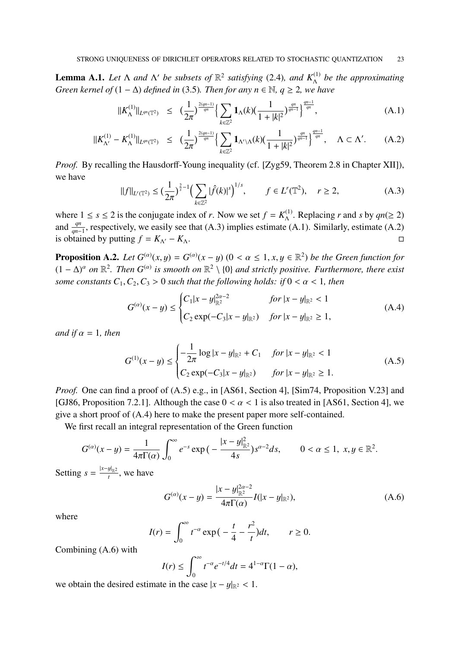**Lemma A.1.** Let  $\Lambda$  and  $\Lambda'$  be subsets of  $\mathbb{R}^2$  satisfying (2.4), and  $K_{\Lambda}^{(1)}$  be the approximating *Green kernel of*  $(1 - \Delta)$  *defined in* (3.5)*. Then for any n*  $\in \mathbb{N}$ *, q*  $\geq$  2*, we have* 

$$
||K_{\Lambda}^{(1)}||_{L^{qn}(\mathbb{T}^2)} \leq \left(\frac{1}{2\pi}\right)^{\frac{2(qn-1)}{qn}} \left\{ \sum_{k\in\mathbb{Z}^2} \mathbf{1}_{\Lambda}(k) \left(\frac{1}{1+|k|^2}\right)^{\frac{qn}{qn-1}} \right\}^{\frac{qn-1}{qn}}, \tag{A.1}
$$

$$
||K_{\Lambda'}^{(1)} - K_{\Lambda}^{(1)}||_{L^{qn}(\mathbb{T}^2)} \leq \left(\frac{1}{2\pi}\right)^{\frac{2(qn-1)}{qn}} \left\{ \sum_{k \in \mathbb{Z}^2} \mathbf{1}_{\Lambda' \setminus \Lambda}(k) \left(\frac{1}{1+|k|^2}\right)^{\frac{qn}{qn-1}} \right\}^{\frac{qn}{qn}}, \quad \Lambda \subset \Lambda'. \tag{A.2}
$$

*Proof.* By recalling the Hausdorff-Young inequality (cf. [Zyg59, Theorem 2.8 in Chapter XII]), we have

$$
||f||_{L^{r}(\mathbb{T}^2)} \leq \left(\frac{1}{2\pi}\right)^{\frac{2}{s}-1} \left(\sum_{k \in \mathbb{Z}^2} |\hat{f}(k)|^s\right)^{1/s}, \qquad f \in L^{r}(\mathbb{T}^2), \quad r \geq 2,
$$
 (A.3)

where  $1 \leq s \leq 2$  is the conjugate index of *r*. Now we set  $f = K_{\Lambda}^{(1)}$  $\Lambda^{(1)}$ . Replacing *r* and *s* by  $qn(\geq 2)$ and  $\frac{qn}{qn-1}$ , respectively, we easily see that (A.3) implies estimate (A.1). Similarly, estimate (A.2) is obtained by putting  $f = K_{\Lambda'} - K_{\Lambda}$ .

**Proposition A.2.** *Let*  $G^{(\alpha)}(x, y) = G^{(\alpha)}(x - y)$  ( $0 < \alpha \leq 1, x, y \in \mathbb{R}^2$ ) *be the Green function for*  $(1 - \Delta)^{\alpha}$  on  $\mathbb{R}^2$ . Then  $G^{(\alpha)}$  is smooth on  $\mathbb{R}^2 \setminus \{0\}$  and strictly positive. Furthermore, there exist *some constants*  $C_1, C_2, C_3 > 0$  *such that the following holds: if*  $0 < \alpha < 1$ *, then* 

$$
G^{(\alpha)}(x-y) \le \begin{cases} C_1|x-y|_{\mathbb{R}^2}^{2\alpha-2} & \text{for } |x-y|_{\mathbb{R}^2} < 1\\ C_2 \exp(-C_3|x-y|_{\mathbb{R}^2}) & \text{for } |x-y|_{\mathbb{R}^2} \ge 1, \end{cases}
$$
(A.4)

*and if*  $\alpha = 1$ *, then* 

$$
G^{(1)}(x-y) \le \begin{cases} -\frac{1}{2\pi} \log|x-y|_{\mathbb{R}^2} + C_1 & \text{for } |x-y|_{\mathbb{R}^2} < 1\\ C_2 \exp(-C_3|x-y|_{\mathbb{R}^2}) & \text{for } |x-y|_{\mathbb{R}^2} \ge 1. \end{cases}
$$
(A.5)

*Proof.* One can find a proof of (A.5) e.g., in [AS61, Section 4], [Sim74, Proposition V.23] and [GJ86, Proposition 7.2.1]. Although the case  $0 < \alpha < 1$  is also treated in [AS61, Section 4], we give a short proof of (A.4) here to make the present paper more self-contained.

We first recall an integral representation of the Green function

$$
G^{(\alpha)}(x-y) = \frac{1}{4\pi \Gamma(\alpha)} \int_0^{\infty} e^{-s} \exp\big(-\frac{|x-y|_{\mathbb{R}^2}^2}{4s}\big) s^{\alpha-2} ds, \qquad 0 < \alpha \le 1, \ x, y \in \mathbb{R}^2.
$$

Setting  $s = \frac{|x-y|_{\mathbb{R}^2}}{t}$  $\frac{y_{\parallel_{\mathbb{R}^2}}}{t}$ , we have

$$
G^{(\alpha)}(x-y) = \frac{|x-y|_{\mathbb{R}^2}^{2\alpha-2}}{4\pi \Gamma(\alpha)} I(|x-y|_{\mathbb{R}^2}),
$$
 (A.6)

where

$$
I(r) = \int_0^\infty t^{-\alpha} \exp\left(-\frac{t}{4} - \frac{r^2}{t}\right) dt, \qquad r \ge 0.
$$

Combining (A.6) with

$$
I(r) \le \int_0^\infty t^{-\alpha} e^{-t/4} dt = 4^{1-\alpha} \Gamma(1-\alpha),
$$

we obtain the desired estimate in the case  $|x - y|_{\mathbb{R}^2} < 1$ .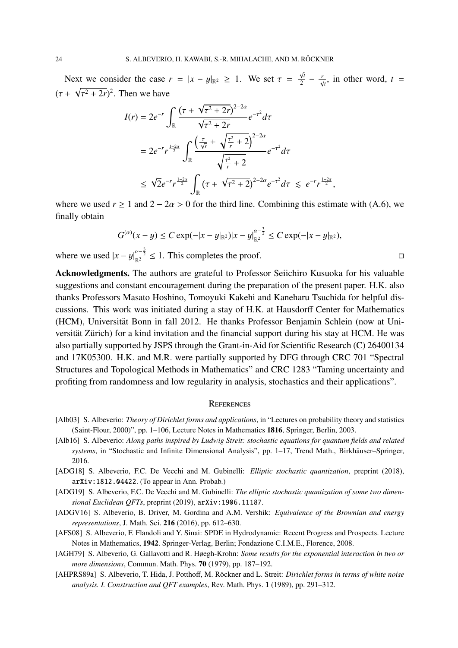Next we consider the case  $r = |x - y|_{\mathbb{R}^2} \ge 1$ . We set  $\tau =$ √ *t r* =  $|x - y|_{\mathbb{R}^2} \ge 1$ . We set  $\tau = \frac{\sqrt{t}}{2} - \frac{r}{\sqrt{t}}$ , in other word,  $t = \frac{\sqrt{t}}{2}$  $(\tau + \sqrt{\tau^2 + 2r})^2$ . Then we have

$$
I(r) = 2e^{-r} \int_{\mathbb{R}} \frac{(\tau + \sqrt{\tau^2 + 2r})^{2-2\alpha}}{\sqrt{\tau^2 + 2r}} e^{-\tau^2} d\tau
$$
  
=  $2e^{-r} r^{\frac{1-2\alpha}{2}} \int_{\mathbb{R}} \frac{\left(\frac{\tau}{\sqrt{r}} + \sqrt{\frac{\tau^2}{r} + 2}\right)^{2-2\alpha}}{\sqrt{\frac{\tau^2}{r} + 2}} e^{-\tau^2} d\tau$   
 $\leq \sqrt{2} e^{-r} r^{\frac{1-2\alpha}{2}} \int_{\mathbb{R}} (\tau + \sqrt{\tau^2 + 2})^{2-2\alpha} e^{-\tau^2} d\tau \leq e^{-r} r^{\frac{1-2\alpha}{2}},$ 

where we used  $r \ge 1$  and  $2 - 2\alpha > 0$  for the third line. Combining this estimate with (A.6), we finally obtain

$$
G^{(\alpha)}(x-y) \leq C \exp(-|x-y|_{\mathbb{R}^2})|x-y|_{\mathbb{R}^2}^{\alpha-\frac{3}{2}} \leq C \exp(-|x-y|_{\mathbb{R}^2}),
$$

where we used  $|x - y|_{\mathbb{R}^2}^{\alpha - \frac{3}{2}} \le 1$ . This completes the proof. □

Acknowledgments. The authors are grateful to Professor Seiichiro Kusuoka for his valuable suggestions and constant encouragement during the preparation of the present paper. H.K. also thanks Professors Masato Hoshino, Tomoyuki Kakehi and Kaneharu Tsuchida for helpful discussions. This work was initiated during a stay of H.K. at Hausdorff Center for Mathematics (HCM), Universität Bonn in fall 2012. He thanks Professor Benjamin Schlein (now at Universität Zürich) for a kind invitation and the financial support during his stay at HCM. He was also partially supported by JSPS through the Grant-in-Aid for Scientific Research (C) 26400134 and 17K05300. H.K. and M.R. were partially supported by DFG through CRC 701 "Spectral Structures and Topological Methods in Mathematics" and CRC 1283 "Taming uncertainty and profiting from randomness and low regularity in analysis, stochastics and their applications".

#### **REFERENCES**

- [Alb03] S. Albeverio: *Theory of Dirichlet forms and applications*, in "Lectures on probability theory and statistics (Saint-Flour, 2000)", pp. 1–106, Lecture Notes in Mathematics 1816, Springer, Berlin, 2003.
- [Alb16] S. Albeverio: *Along paths inspired by Ludwig Streit: stochastic equations for quantum fields and related systems*, in "Stochastic and Infinite Dimensional Analysis", pp. 1–17, Trend Math., Birkhäuser–Springer, 2016.
- [ADG18] S. Albeverio, F.C. De Vecchi and M. Gubinelli: *Elliptic stochastic quantization*, preprint (2018), arXiv:1812.04422. (To appear in Ann. Probab.)
- [ADG19] S. Albeverio, F.C. De Vecchi and M. Gubinelli: *The elliptic stochastic quantization of some two dimensional Euclidean QFTs*, preprint (2019), arXiv:1906.11187.
- [ADGV16] S. Albeverio, B. Driver, M. Gordina and A.M. Vershik: *Equivalence of the Brownian and energy representations*, J. Math. Sci. 216 (2016), pp. 612–630.
- [AFS08] S. Albeverio, F. Flandoli and Y. Sinai: SPDE in Hydrodynamic: Recent Progress and Prospects. Lecture Notes in Mathematics, 1942. Springer-Verlag, Berlin; Fondazione C.I.M.E., Florence, 2008.
- [AGH79] S. Albeverio, G. Gallavotti and R. Høegh-Krohn: *Some results for the exponential interaction in two or more dimensions*, Commun. Math. Phys. 70 (1979), pp. 187–192.
- [AHPRS89a] S. Albeverio, T. Hida, J. Potthoff, M. Röckner and L. Streit: *Dirichlet forms in terms of white noise analysis. I. Construction and QFT examples*, Rev. Math. Phys. 1 (1989), pp. 291–312.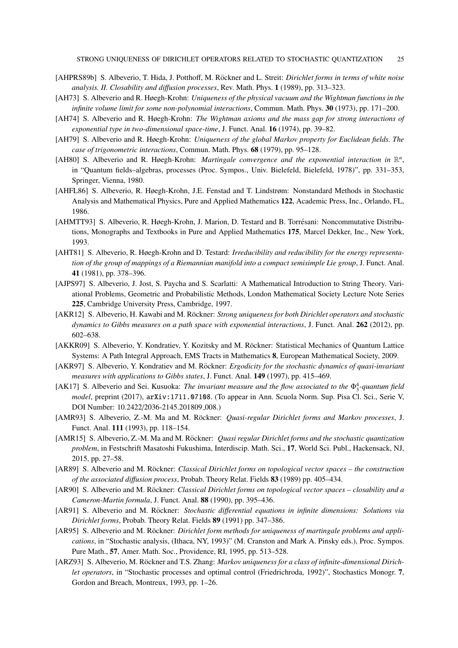- [AHPRS89b] S. Albeverio, T. Hida, J. Potthoff, M. Röckner and L. Streit: *Dirichlet forms in terms of white noise analysis. II. Closability and di*ff*usion processes*, Rev. Math. Phys. 1 (1989), pp. 313–323.
- [AH73] S. Albeverio and R. Høegh-Krohn: *Uniqueness of the physical vacuum and the Wightman functions in the infinite volume limit for some non-polynomial interactions*, Commun. Math. Phys. 30 (1973), pp. 171–200.
- [AH74] S. Albeverio and R. Høegh-Krohn: *The Wightman axioms and the mass gap for strong interactions of exponential type in two-dimensional space-time*, J. Funct. Anal. 16 (1974), pp. 39–82.
- [AH79] S. Albeverio and R. Høegh-Krohn: *Uniqueness of the global Markov property for Euclidean fields. The case of trigonometric interactions*, Commun. Math. Phys. 68 (1979), pp. 95–128.
- [AH80] S. Albeverio and R. Høegh-Krohn: *Martingale convergence and the exponential interaction in*  $\mathbb{R}^n$ , in "Quantum fields–algebras, processes (Proc. Sympos., Univ. Bielefeld, Bielefeld, 1978)", pp. 331–353, Springer, Vienna, 1980.
- [AHFL86] S. Albeverio, R. Høegh-Krohn, J.E. Fenstad and T. Lindstrøm: Nonstandard Methods in Stochastic Analysis and Mathematical Physics, Pure and Applied Mathematics 122, Academic Press, Inc., Orlando, FL, 1986.
- [AHMTT93] S. Albeverio, R. Høegh-Krohn, J. Marion, D. Testard and B. Torresani: Noncommutative Distribu- ´ tions, Monographs and Textbooks in Pure and Applied Mathematics 175, Marcel Dekker, Inc., New York, 1993.
- [AHT81] S. Albeverio, R. Høegh-Krohn and D. Testard: *Irreducibility and reducibility for the energy representation of the group of mappings of a Riemannian manifold into a compact semisimple Lie group*, J. Funct. Anal. 41 (1981), pp. 378–396.
- [AJPS97] S. Albeverio, J. Jost, S. Paycha and S. Scarlatti: A Mathematical Introduction to String Theory. Variational Problems, Geometric and Probabilistic Methods, London Mathematical Society Lecture Note Series 225, Cambridge University Press, Cambridge, 1997.
- [AKR12] S. Albeverio, H. Kawabi and M. Röckner: *Strong uniqueness for both Dirichlet operators and stochastic dynamics to Gibbs measures on a path space with exponential interactions*, J. Funct. Anal. 262 (2012), pp. 602–638.
- [AKKR09] S. Albeverio, Y. Kondratiev, Y. Kozitsky and M. Röckner: Statistical Mechanics of Quantum Lattice Systems: A Path Integral Approach, EMS Tracts in Mathematics 8, European Mathematical Society, 2009.
- [AKR97] S. Albeverio, Y. Kondratiev and M. Röckner: *Ergodicity for the stochastic dynamics of quasi-invariant measures with applications to Gibbs states*, J. Funct. Anal. 149 (1997), pp. 415–469.
- [AK17] S. Albeverio and Sei. Kusuoka: *The invariant measure and the flow associated to the*  $\Phi_3^4$ -quantum field *model*, preprint (2017), arXiv:1711.07108. (To appear in Ann. Scuola Norm. Sup. Pisa Cl. Sci., Serie V, DOI Number: 10.2422/2036-2145.201809<sub>-008</sub>.)
- [AMR93] S. Albeverio, Z.-M. Ma and M. Röckner: *Quasi-regular Dirichlet forms and Markov processes*, J. Funct. Anal. 111 (1993), pp. 118–154.
- [AMR15] S. Albeverio, Z.-M. Ma and M. Röckner: *Quasi regular Dirichlet forms and the stochastic quantization problem*, in Festschrift Masatoshi Fukushima, Interdiscip. Math. Sci., 17, World Sci. Publ., Hackensack, NJ, 2015, pp. 27–58.
- [AR89] S. Albeverio and M. Röckner: *Classical Dirichlet forms on topological vector spaces the construction of the associated di*ff*usion process*, Probab. Theory Relat. Fields 83 (1989) pp. 405–434.
- [AR90] S. Albeverio and M. Röckner: *Classical Dirichlet forms on topological vector spaces closability and a Cameron-Martin formula*, J. Funct. Anal. 88 (1990), pp. 395–436.
- [AR91] S. Albeverio and M. Röckner: Stochastic differential equations in infinite dimensions: Solutions via *Dirichlet forms*, Probab. Theory Relat. Fields 89 (1991) pp. 347–386.
- [AR95] S. Albeverio and M. Röckner: *Dirichlet form methods for uniqueness of martingale problems and applications*, in "Stochastic analysis, (Ithaca, NY, 1993)" (M. Cranston and Mark A. Pinsky eds.), Proc. Sympos. Pure Math., 57, Amer. Math. Soc., Providence, RI, 1995, pp. 513–528.
- [ARZ93] S. Albeverio, M. Röckner and T.S. Zhang: *Markov uniqueness for a class of infinite-dimensional Dirichlet operators*, in "Stochastic processes and optimal control (Friedrichroda, 1992)", Stochastics Monogr. 7, Gordon and Breach, Montreux, 1993, pp. 1–26.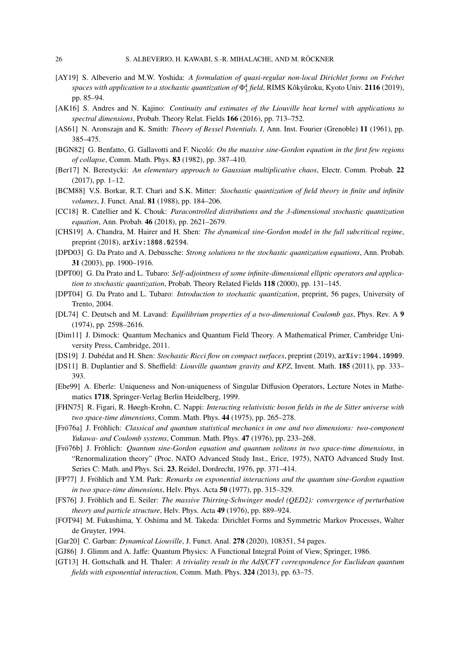- [AY19] S. Albeverio and M.W. Yoshida: *A formulation of quasi-regular non-local Dirichlet forms on Fréchet spaces with application to a stochastic quantization of*  $\Phi_3^4$  *field*, RIMS Kôkyûroku, Kyoto Univ. **2116** (2019), pp. 85–94.
- [AK16] S. Andres and N. Kajino: *Continuity and estimates of the Liouville heat kernel with applications to spectral dimensions*, Probab. Theory Relat. Fields 166 (2016), pp. 713–752.
- [AS61] N. Aronszajn and K. Smith: *Theory of Bessel Potentials. I*, Ann. Inst. Fourier (Grenoble) 11 (1961), pp. 385–475.
- [BGN82] G. Benfatto, G. Gallavotti and F. Nicoló: On the massive sine-Gordon equation in the first few regions *of collapse*, Comm. Math. Phys. 83 (1982), pp. 387–410.
- [Ber17] N. Berestycki: *An elementary approach to Gaussian multiplicative chaos*, Electr. Comm. Probab. 22 (2017), pp. 1–12.
- [BCM88] V.S. Borkar, R.T. Chari and S.K. Mitter: *Stochastic quantization of field theory in finite and infinite volumes*, J. Funct. Anal. 81 (1988), pp. 184–206.
- [CC18] R. Catellier and K. Chouk: *Paracontrolled distributions and the 3-dimensional stochastic quantization equation*, Ann. Probab. 46 (2018), pp. 2621–2679.
- [CHS19] A. Chandra, M. Hairer and H. Shen: *The dynamical sine-Gordon model in the full subcritical regime*, preprint (2018), arXiv:1808.02594.
- [DPD03] G. Da Prato and A. Debussche: *Strong solutions to the stochastic quantization equations*, Ann. Probab. 31 (2003), pp. 1900–1916.
- [DPT00] G. Da Prato and L. Tubaro: *Self-adjointness of some infinite-dimensional elliptic operators and application to stochastic quantization*, Probab. Theory Related Fields 118 (2000), pp. 131–145.
- [DPT04] G. Da Prato and L. Tubaro: *Introduction to stochastic quantization*, preprint, 56 pages, University of Trento, 2004.
- [DL74] C. Deutsch and M. Lavaud: *Equilibrium properties of a two-dimensional Coulomb gas*, Phys. Rev. A 9 (1974), pp. 2598–2616.
- [Dim11] J. Dimock: Quantum Mechanics and Quantum Field Theory. A Mathematical Primer, Cambridge University Press, Cambridge, 2011.
- [DS19] J. Dubédat and H. Shen: *Stochastic Ricci flow on compact surfaces*, preprint (2019), arXiv: 1904. 10909.
- [DS11] B. Duplantier and S. Sheffield: *Liouville quantum gravity and KPZ*, Invent. Math. 185 (2011), pp. 333– 393.
- [Ebe99] A. Eberle: Uniqueness and Non-uniqueness of Singular Diffusion Operators, Lecture Notes in Mathematics 1718, Springer-Verlag Berlin Heidelberg, 1999.
- [FHN75] R. Figari, R. Høegh-Krohn, C. Nappi: *Interacting relativistic boson fields in the de Sitter universe with two space-time dimensions*, Comm. Math. Phys. 44 (1975), pp. 265–278.
- [Frö76a] J. Fröhlich: *Classical and quantum statistical mechanics in one and two dimensions: two-component Yukawa- and Coulomb systems*, Commun. Math. Phys. 47 (1976), pp. 233–268.
- [Frö76b] J. Fröhlich: *Quantum sine-Gordon equation and quantum solitons in two space-time dimensions*, in "Renormalization theory" (Proc. NATO Advanced Study Inst., Erice, 1975), NATO Advanced Study Inst. Series C: Math. and Phys. Sci. 23, Reidel, Dordrecht, 1976, pp. 371–414.
- [FP77] J. Fröhlich and Y.M. Park: *Remarks on exponential interactions and the quantum sine-Gordon equation in two space-time dimensions*, Helv. Phys. Acta 50 (1977), pp. 315–329.
- [FS76] J. Fröhlich and E. Seiler: *The massive Thirring-Schwinger model (QED2): convergence of perturbation theory and particle structure*, Helv. Phys. Acta 49 (1976), pp. 889–924.
- [FOT94] M. Fukushima, Y. Oshima and M. Takeda: Dirichlet Forms and Symmetric Markov Processes, Walter de Gruyter, 1994.
- [Gar20] C. Garban: *Dynamical Liouville*, J. Funct. Anal. 278 (2020), 108351, 54 pages.
- [GJ86] J. Glimm and A. Jaffe: Quantum Physics: A Functional Integral Point of View, Springer, 1986.
- [GT13] H. Gottschalk and H. Thaler: *A triviality result in the AdS*/*CFT correspondence for Euclidean quantum fields with exponential interaction*, Comm. Math. Phys. 324 (2013), pp. 63–75.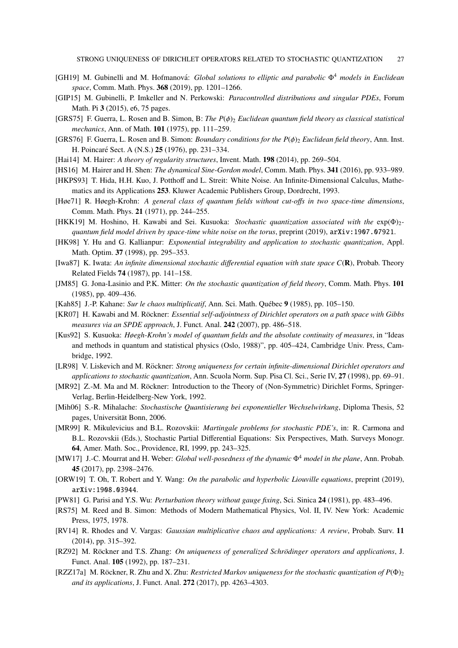- [GH19] M. Gubinelli and M. Hofmanova:´ *Global solutions to elliptic and parabolic* Φ<sup>4</sup> *models in Euclidean space*, Comm. Math. Phys. 368 (2019), pp. 1201–1266.
- [GIP15] M. Gubinelli, P. Imkeller and N. Perkowski: *Paracontrolled distributions and singular PDEs*, Forum Math. Pi 3 (2015), e6, 75 pages.
- [GRS75] F. Guerra, L. Rosen and B. Simon, B: *The P*(ϕ)<sup>2</sup> *Euclidean quantum field theory as classical statistical mechanics*, Ann. of Math. 101 (1975), pp. 111–259.
- [GRS76] F. Guerra, L. Rosen and B. Simon: *Boundary conditions for the P(* $\phi$ *)<sub>2</sub> Euclidean field theory*, Ann. Inst. H. Poincaré Sect. A (N.S.) **25** (1976), pp. 231-334.
- [Hai14] M. Hairer: *A theory of regularity structures*, Invent. Math. 198 (2014), pp. 269–504.
- [HS16] M. Hairer and H. Shen: *The dynamical Sine-Gordon model*, Comm. Math. Phys. 341 (2016), pp. 933–989.
- [HKPS93] T. Hida, H.H. Kuo, J. Potthoff and L. Streit: White Noise. An Infinite-Dimensional Calculus, Mathematics and its Applications 253. Kluwer Academic Publishers Group, Dordrecht, 1993.
- [Høe71] R. Høegh-Krohn: *A general class of quantum fields without cut-o*ff*s in two space-time dimensions*, Comm. Math. Phys. 21 (1971), pp. 244–255.
- [HKK19] M. Hoshino, H. Kawabi and Sei. Kusuoka: *Stochastic quantization associated with the* exp(Φ)2 *quantum field model driven by space-time white noise on the torus*, preprint (2019), arXiv:1907.07921.
- [HK98] Y. Hu and G. Kallianpur: *Exponential integrability and application to stochastic quantization*, Appl. Math. Optim. 37 (1998), pp. 295–353.
- [Iwa87] K. Iwata: *An infinite dimensional stochastic di*ff*erential equation with state space C*(R), Probab. Theory Related Fields 74 (1987), pp. 141–158.
- [JM85] G. Jona-Lasinio and P.K. Mitter: *On the stochastic quantization of field theory*, Comm. Math. Phys. 101 (1985), pp. 409–436.
- [Kah85] J.-P. Kahane: *Sur le chaos multiplicatif*, Ann. Sci. Math. Québec 9 (1985), pp. 105–150.
- [KR07] H. Kawabi and M. Röckner: *Essential self-adjointness of Dirichlet operators on a path space with Gibbs measures via an SPDE approach*, J. Funct. Anal. 242 (2007), pp. 486–518.
- [Kus92] S. Kusuoka: *Høegh-Krohn's model of quantum fields and the absolute continuity of measures*, in "Ideas and methods in quantum and statistical physics (Oslo, 1988)", pp. 405–424, Cambridge Univ. Press, Cambridge, 1992.
- [LR98] V. Liskevich and M. Röckner: *Strong uniqueness for certain infinite-dimensional Dirichlet operators and applications to stochastic quantization*, Ann. Scuola Norm. Sup. Pisa Cl. Sci., Serie IV, 27 (1998), pp. 69–91.
- [MR92] Z.-M. Ma and M. Röckner: Introduction to the Theory of (Non-Symmetric) Dirichlet Forms, Springer-Verlag, Berlin-Heidelberg-New York, 1992.
- [Mih06] S.-R. Mihalache: *Stochastische Quantisierung bei exponentieller Wechselwirkung*, Diploma Thesis, 52 pages, Universität Bonn, 2006.
- [MR99] R. Mikulevicius and B.L. Rozovskii: *Martingale problems for stochastic PDE's*, in: R. Carmona and B.L. Rozovskii (Eds.), Stochastic Partial Differential Equations: Six Perspectives, Math. Surveys Monogr. 64, Amer. Math. Soc., Providence, RI, 1999, pp. 243–325.
- [MW17] J.-C. Mourrat and H. Weber: *Global well-posedness of the dynamic* Φ<sup>4</sup> *model in the plane*, Ann. Probab. 45 (2017), pp. 2398–2476.
- [ORW19] T. Oh, T. Robert and Y. Wang: *On the parabolic and hyperbolic Liouville equations*, preprint (2019), arXiv:1908.03944.
- [PW81] G. Parisi and Y.S. Wu: *Perturbation theory without gauge fixing*, Sci. Sinica 24 (1981), pp. 483–496.
- [RS75] M. Reed and B. Simon: Methods of Modern Mathematical Physics, Vol. II, IV. New York: Academic Press, 1975, 1978.
- [RV14] R. Rhodes and V. Vargas: *Gaussian multiplicative chaos and applications: A review*, Probab. Surv. 11 (2014), pp. 315–392.
- [RZ92] M. Röckner and T.S. Zhang: *On uniqueness of generalized Schrödinger operators and applications*, J. Funct. Anal. 105 (1992), pp. 187–231.
- $[RZZ17a]$  M. Röckner, R. Zhu and X. Zhu: *Restricted Markov uniqueness for the stochastic quantization of P*( $\Phi$ )<sub>2</sub> *and its applications*, J. Funct. Anal. 272 (2017), pp. 4263–4303.